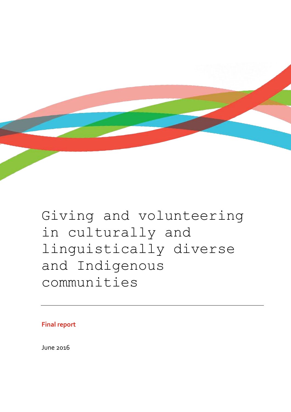

# Giving and volunteering in culturally and linguistically diverse and Indigenous communities

**Final report**

June 2016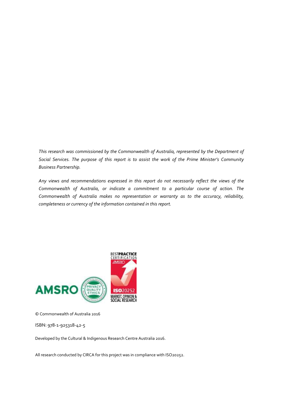*This research was commissioned by the Commonwealth of Australia, represented by the Department of Social Services. The purpose of this report is to assist the work of the Prime Minister's Community Business Partnership.*

*Any views and recommendations expressed in this report do not necessarily reflect the views of the Commonwealth of Australia, or indicate a commitment to a particular course of action. The Commonwealth of Australia makes no representation or warranty as to the accuracy, reliability, completeness or currency of the information contained in this report.*



© Commonwealth of Australia 2016

ISBN: 978-1-925318-42-5

Developed by the Cultural & Indigenous Research Centre Australia 2016.

All research conducted by CIRCA for this project was in compliance with ISO20252.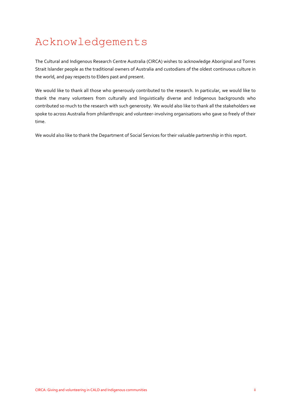# Acknowledgements

The Cultural and Indigenous Research Centre Australia (CIRCA) wishes to acknowledge Aboriginal and Torres Strait Islander people as the traditional owners of Australia and custodians of the oldest continuous culture in the world, and pay respects to Elders past and present.

We would like to thank all those who generously contributed to the research. In particular, we would like to thank the many volunteers from culturally and linguistically diverse and Indigenous backgrounds who contributed so much to the research with such generosity. We would also like to thank all the stakeholders we spoke to across Australia from philanthropic and volunteer-involving organisations who gave so freely of their time.

We would also like to thank the Department of Social Services for their valuable partnership in this report.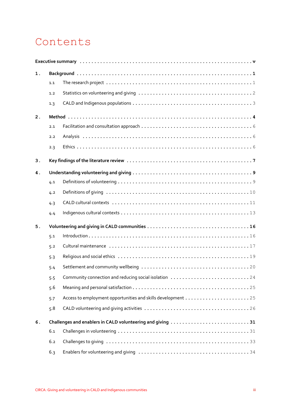## Contents

| 1. |                                                            |                                                              |  |  |  |  |
|----|------------------------------------------------------------|--------------------------------------------------------------|--|--|--|--|
|    | 1.1                                                        |                                                              |  |  |  |  |
|    | 1.2                                                        |                                                              |  |  |  |  |
|    | 1.3                                                        |                                                              |  |  |  |  |
| 2. |                                                            |                                                              |  |  |  |  |
|    | 2.1                                                        |                                                              |  |  |  |  |
|    | 2.2                                                        |                                                              |  |  |  |  |
|    | 2.3                                                        |                                                              |  |  |  |  |
| 3. |                                                            |                                                              |  |  |  |  |
| 4. |                                                            |                                                              |  |  |  |  |
|    | 4.1                                                        |                                                              |  |  |  |  |
|    | 4.2                                                        |                                                              |  |  |  |  |
|    | 4.3                                                        |                                                              |  |  |  |  |
|    | 4.4                                                        |                                                              |  |  |  |  |
| 5. |                                                            |                                                              |  |  |  |  |
|    | 5.1                                                        |                                                              |  |  |  |  |
|    | 5.2                                                        |                                                              |  |  |  |  |
|    | 5.3                                                        |                                                              |  |  |  |  |
|    | 5.4                                                        |                                                              |  |  |  |  |
|    | 5.5                                                        | Community connection and reducing social isolation 24        |  |  |  |  |
|    | 5.6                                                        |                                                              |  |  |  |  |
|    | 5.7                                                        | Access to employment opportunities and skills development 25 |  |  |  |  |
|    | 5.8                                                        |                                                              |  |  |  |  |
| 6. | Challenges and enablers in CALD volunteering and giving 31 |                                                              |  |  |  |  |
|    | 6.1                                                        |                                                              |  |  |  |  |
|    | 6.2                                                        |                                                              |  |  |  |  |
|    | 6.3                                                        |                                                              |  |  |  |  |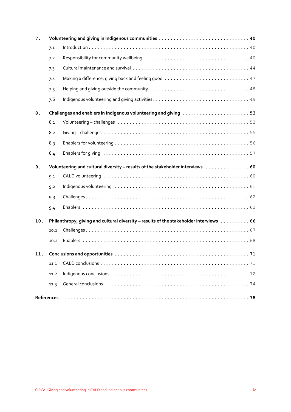| 7.  |                                                                  |                                                                                        |  |  |  |
|-----|------------------------------------------------------------------|----------------------------------------------------------------------------------------|--|--|--|
|     | 7.1                                                              |                                                                                        |  |  |  |
|     | 7.2                                                              |                                                                                        |  |  |  |
|     | 7.3                                                              |                                                                                        |  |  |  |
|     | 7.4                                                              |                                                                                        |  |  |  |
|     | 7.5                                                              |                                                                                        |  |  |  |
|     | 7.6                                                              |                                                                                        |  |  |  |
| 8.  | Challenges and enablers in Indigenous volunteering and giving 53 |                                                                                        |  |  |  |
|     | 8.1                                                              |                                                                                        |  |  |  |
|     | 8.2                                                              |                                                                                        |  |  |  |
|     | 8.3                                                              |                                                                                        |  |  |  |
|     | 8.4                                                              |                                                                                        |  |  |  |
| 9.  |                                                                  | Volunteering and cultural diversity - results of the stakeholder interviews 60         |  |  |  |
|     | 9.1                                                              |                                                                                        |  |  |  |
|     | 9.2                                                              |                                                                                        |  |  |  |
|     | 9.3                                                              |                                                                                        |  |  |  |
|     | 9.4                                                              |                                                                                        |  |  |  |
| 10. |                                                                  | Philanthropy, giving and cultural diversity - results of the stakeholder interviews 66 |  |  |  |
|     | 10.1                                                             |                                                                                        |  |  |  |
|     | 10.2                                                             |                                                                                        |  |  |  |
|     |                                                                  |                                                                                        |  |  |  |
|     | 11.1                                                             |                                                                                        |  |  |  |
|     | 11.2                                                             |                                                                                        |  |  |  |
|     | 11.3                                                             |                                                                                        |  |  |  |
|     |                                                                  |                                                                                        |  |  |  |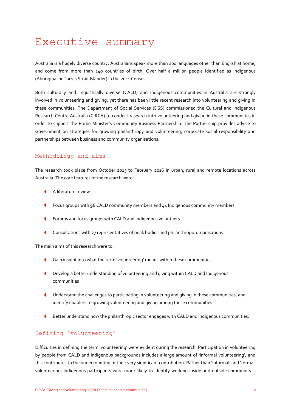## <span id="page-5-0"></span>Executive summary

Australia is a hugely diverse country. Australians speak more than 200 languages other than English at home, and come from more than 240 countries of birth. Over half a million people identified as Indigenous (Aboriginal or Torres Strait Islander) in the 2011 Census.

Both culturally and linguistically diverse (CALD) and Indigenous communities in Australia are strongly involved in volunteering and giving, yet there has been little recent research into volunteering and giving in these communities. The Department of Social Services (DSS) commissioned the Cultural and Indigenous Research Centre Australia (CIRCA) to conduct research into volunteering and giving in these communities in order to support the Prime Minister's Community Business Partnership. The Partnership provides advice to Government on strategies for growing philanthropy and volunteering, corporate social responsibility and partnerships between business and community organisations.

#### Methodology and aims

The research took place from October 2015 to February 2016 in urban, rural and remote locations across Australia. The core features of the research were:

- A literature review
- Focus groups with 96 CALD community members and 44 Indigenous community members
- Forums and focus groups with CALD and Indigenous volunteers
- Consultations with 27 representatives of peak bodies and philanthropic organisations.

The main aims of this research were to:

- Gain insight into what the term 'volunteering' means within these communities
- Develop a better understanding of volunteering and giving within CALD and Indigenous communities
- Understand the challenges to participating in volunteering and giving in these communities, and identify enablers to growing volunteering and giving among these communities
- Better understand how the philanthropic sector engages with CALD and Indigenous communities.

#### Defining 'volunteering'

Difficulties in defining the term 'volunteering' were evident during the research. Participation in volunteering by people from CALD and Indigenous backgrounds includes a large amount of 'informal volunteering', and this contributes to the undercounting of their very significant contribution. Rather than 'informal' and 'formal' volunteering, Indigenous participants were more likely to identify working inside and outside community –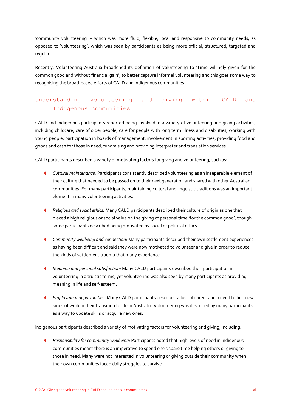'community volunteering' – which was more fluid, flexible, local and responsive to community needs, as opposed to 'volunteering', which was seen by participants as being more official, structured, targeted and regular.

Recently, Volunteering Australia broadened its definition of volunteering to 'Time willingly given for the common good and without financial gain', to better capture informal volunteering and this goes some way to recognising the broad-based efforts of CALD and Indigenous communities.

### Understanding volunteering and giving within CALD and Indigenous communities

CALD and Indigenous participants reported being involved in a variety of volunteering and giving activities, including childcare, care of older people, care for people with long term illness and disabilities, working with young people, participation in boards of management, involvement in sporting activities, providing food and goods and cash for those in need, fundraising and providing interpreter and translation services.

CALD participants described a variety of motivating factors for giving and volunteering, such as:

- *Cultural maintenance:* Participants consistently described volunteering as an inseparable element of their culture that needed to be passed on to their next generation and shared with other Australian communities. For many participants, maintaining cultural and linguistic traditions was an important element in many volunteering activities.
- *Religious and social ethics:* Many CALD participants described their culture of origin as one that placed a high religious or social value on the giving of personal time 'for the common good', though some participants described being motivated by social or political ethics.
- *Community wellbeing and connection:* Many participants described their own settlement experiences as having been difficult and said they were now motivated to volunteer and give in order to reduce the kinds of settlement trauma that many experience.
- *Meaning and personal satisfaction:* Many CALD participants described their participation in volunteering in altruistic terms, yet volunteering was also seen by many participants as providing meaning in life and self-esteem.
- *Employment opportunities:* Many CALD participants described a loss of career and a need to find new kinds of work in their transition to life in Australia. Volunteering was described by many participants as a way to update skills or acquire new ones.

Indigenous participants described a variety of motivating factors for volunteering and giving, including:

 *Responsibility for community wellbeing:* Participants noted that high levels of need in Indigenous communities meant there is an imperative to spend one's spare time helping others or giving to those in need. Many were not interested in volunteering or giving outside their community when their own communities faced daily struggles to survive.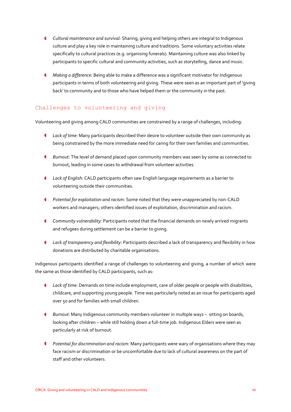- *Cultural maintenance and survival:* Sharing, giving and helping others are integral to Indigenous culture and play a key role in maintaining culture and traditions. Some voluntary activities relate specifically to cultural practices (e.g. organising funerals). Maintaining culture was also linked by participants to specific cultural and community activities, such as storytelling, dance and music.
- *Making a difference:* Being able to make a difference was a significant motivator for Indigenous participants in terms of both volunteering and giving. These were seen as an important part of 'giving back' to community and to those who have helped them or the community in the past.

#### Challenges to volunteering and giving

Volunteering and giving among CALD communities are constrained by a range of challenges, including:

- *Lack of time:* Many participants described their desire to volunteer outside their own community as being constrained by the more immediate need for caring for their own families and communities.
- *Burnout:* The level of demand placed upon community members was seen by some as connected to burnout, leading in some cases to withdrawal from volunteer activities.
- *Lack of English:* CALD participants often saw English language requirements as a barrier to volunteering outside their communities.
- *Potential for exploitation and racism:* Some noted that they were unappreciated by non-CALD workers and managers; others identified issues of exploitation, discrimination and racism.
- *Community vulnerability:* Participants noted that the financial demands on newly arrived migrants and refugees during settlement can be a barrier to giving.
- *Lack of transparency and flexibility:* Participants described a lack of transparency and flexibility in how donations are distributed by charitable organisations.

Indigenous participants identified a range of challenges to volunteering and giving, a number of which were the same as those identified by CALD participants, such as:

- *Lack of time:* Demands on time include employment, care of older people or people with disabilities, childcare, and supporting young people. Time was particularly noted as an issue for participants aged over 50 and for families with small children.
- *Burnout:* Many Indigenous community members volunteer in multiple ways sitting on boards, looking after children – while still holding down a full-time job. Indigenous Elders were seen as particularly at risk of burnout.
- *Potential for discrimination and racism:* Many participants were wary of organisations where they may face racism or discrimination or be uncomfortable due to lack of cultural awareness on the part of staff and other volunteers.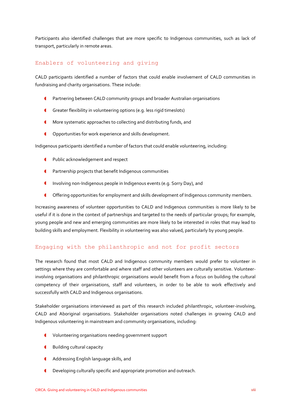Participants also identified challenges that are more specific to Indigenous communities, such as lack of transport, particularly in remote areas.

#### Enablers of volunteering and giving

CALD participants identified a number of factors that could enable involvement of CALD communities in fundraising and charity organisations. These include:

- Partnering between CALD community groups and broader Australian organisations
- Greater flexibility in volunteering options (e.g. less rigid timeslots)
- **CED More systematic approaches to collecting and distributing funds, and**
- **C** Opportunities for work experience and skills development.

Indigenous participants identified a number of factors that could enable volunteering, including:

- **I** Public acknowledgement and respect
- **CED Partnership projects that benefit Indigenous communities**
- Involving non-Indigenous people in Indigenous events (e.g. Sorry Day), and
- Offering opportunities for employment and skills development of Indigenous community members.

Increasing awareness of volunteer opportunities to CALD and Indigenous communities is more likely to be useful if it is done in the context of partnerships and targeted to the needs of particular groups; for example, young people and new and emerging communities are more likely to be interested in roles that may lead to building skills and employment. Flexibility in volunteering was also valued, particularly by young people.

#### Engaging with the philanthropic and not for profit sectors

The research found that most CALD and Indigenous community members would prefer to volunteer in settings where they are comfortable and where staff and other volunteers are culturally sensitive. Volunteerinvolving organisations and philanthropic organisations would benefit from a focus on building the cultural competency of their organisations, staff and volunteers, in order to be able to work effectively and successfully with CALD and Indigenous organisations.

Stakeholder organisations interviewed as part of this research included philanthropic, volunteer-involving, CALD and Aboriginal organisations. Stakeholder organisations noted challenges in growing CALD and Indigenous volunteering in mainstream and community organisations, including:

- Volunteering organisations needing government support
- **4** Building cultural capacity
- **4** Addressing English language skills, and
- Developing culturally specific and appropriate promotion and outreach.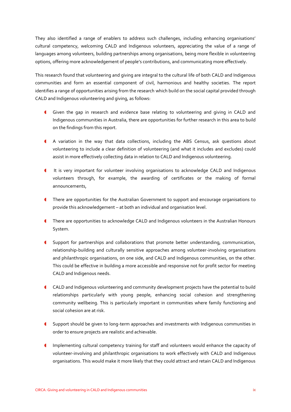They also identified a range of enablers to address such challenges, including enhancing organisations' cultural competency, welcoming CALD and Indigenous volunteers, appreciating the value of a range of languages among volunteers, building partnerships among organisations, being more flexible in volunteering options, offering more acknowledgement of people's contributions, and communicating more effectively.

This research found that volunteering and giving are integral to the cultural life of both CALD and Indigenous communities and form an essential component of civil, harmonious and healthy societies. The report identifies a range of opportunities arising from the research which build on the social capital provided through CALD and Indigenous volunteering and giving, as follows:

- Given the gap in research and evidence base relating to volunteering and giving in CALD and Indigenous communities in Australia, there are opportunities for further research in this area to build on the findings from this report.
- A variation in the way that data collections, including the ABS Census, ask questions about volunteering to include a clear definition of volunteering (and what it includes and excludes) could assist in more effectively collecting data in relation to CALD and Indigenous volunteering.
- It is very important for volunteer involving organisations to acknowledge CALD and Indigenous volunteers through, for example, the awarding of certificates or the making of formal announcements,
- **I** There are opportunities for the Australian Government to support and encourage organisations to provide this acknowledgement – at both an individual and organisation level.
- There are opportunities to acknowledge CALD and Indigenous volunteers in the Australian Honours System.
- Support for partnerships and collaborations that promote better understanding, communication, relationship-building and culturally sensitive approaches among volunteer-involving organisations and philanthropic organisations, on one side, and CALD and Indigenous communities, on the other. This could be effective in building a more accessible and responsive not for profit sector for meeting CALD and Indigenous needs.
- CALD and Indigenous volunteering and community development projects have the potential to build relationships particularly with young people, enhancing social cohesion and strengthening community wellbeing. This is particularly important in communities where family functioning and social cohesion are at risk.
- Support should be given to long-term approaches and investments with Indigenous communities in order to ensure projects are realistic and achievable.
- Implementing cultural competency training for staff and volunteers would enhance the capacity of volunteer-involving and philanthropic organisations to work effectively with CALD and Indigenous organisations. This would make it more likely that they could attract and retain CALD and Indigenous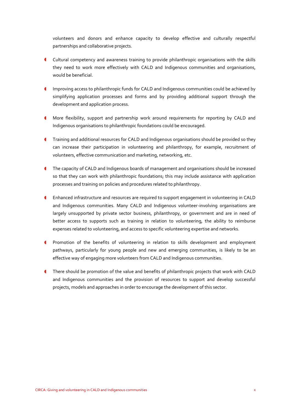volunteers and donors and enhance capacity to develop effective and culturally respectful partnerships and collaborative projects.

- Cultural competency and awareness training to provide philanthropic organisations with the skills they need to work more effectively with CALD and Indigenous communities and organisations, would be beneficial.
- Improving access to philanthropic funds for CALD and Indigenous communities could be achieved by simplifying application processes and forms and by providing additional support through the development and application process.
- More flexibility, support and partnership work around requirements for reporting by CALD and Indigenous organisations to philanthropic foundations could be encouraged.
- **Training and additional resources for CALD and Indigenous organisations should be provided so they** can increase their participation in volunteering and philanthropy, for example, recruitment of volunteers, effective communication and marketing, networking, etc.
- The capacity of CALD and Indigenous boards of management and organisations should be increased so that they can work with philanthropic foundations; this may include assistance with application processes and training on policies and procedures related to philanthropy.
- Enhanced infrastructure and resources are required to support engagement in volunteering in CALD and Indigenous communities. Many CALD and Indigenous volunteer-involving organisations are largely unsupported by private sector business, philanthropy, or government and are in need of better access to supports such as training in relation to volunteering, the ability to reimburse expenses related to volunteering, and access to specific volunteering expertise and networks.
- Promotion of the benefits of volunteering in relation to skills development and employment pathways, particularly for young people and new and emerging communities, is likely to be an effective way of engaging more volunteers from CALD and Indigenous communities.
- There should be promotion of the value and benefits of philanthropic projects that work with CALD and Indigenous communities and the provision of resources to support and develop successful projects, models and approaches in order to encourage the development of this sector.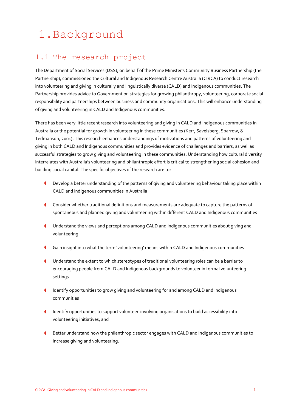# <span id="page-11-0"></span>1.Background

## <span id="page-11-1"></span>1.1 The research project

The Department of Social Services (DSS), on behalf of the Prime Minister's Community Business Partnership (the Partnership), commissioned the Cultural and Indigenous Research Centre Australia (CIRCA) to conduct research into volunteering and giving in culturally and linguistically diverse (CALD) and Indigenous communities. The Partnership provides advice to Government on strategies for growing philanthropy, volunteering, corporate social responsibility and partnerships between business and community organisations. This will enhance understanding of giving and volunteering in CALD and Indigenous communities.

There has been very little recent research into volunteering and giving in CALD and Indigenous communities in Australia or the potential for growth in volunteering in these communities (Kerr, Savelsberg, Sparrow, & Tedmanson, 2001). This research enhances understandings of motivations and patterns of volunteering and giving in both CALD and Indigenous communities and provides evidence of challenges and barriers, as well as successful strategies to grow giving and volunteering in these communities. Understanding how cultural diversity interrelates with Australia's volunteering and philanthropic effort is critical to strengthening social cohesion and building social capital. The specific objectives of the research are to:

- Develop a better understanding of the patterns of giving and volunteering behaviour taking place within CALD and Indigenous communities in Australia
- Consider whether traditional definitions and measurements are adequate to capture the patterns of spontaneous and planned giving and volunteering within different CALD and Indigenous communities
- Understand the views and perceptions among CALD and Indigenous communities about giving and volunteering
- Gain insight into what the term 'volunteering' means within CALD and Indigenous communities
- Understand the extent to which stereotypes of traditional volunteering roles can be a barrier to encouraging people from CALD and Indigenous backgrounds to volunteer in formal volunteering settings
- Identify opportunities to grow giving and volunteering for and among CALD and Indigenous communities
- Identify opportunities to support volunteer-involving organisations to build accessibility into volunteering initiatives, and
- **C** Better understand how the philanthropic sector engages with CALD and Indigenous communities to increase giving and volunteering.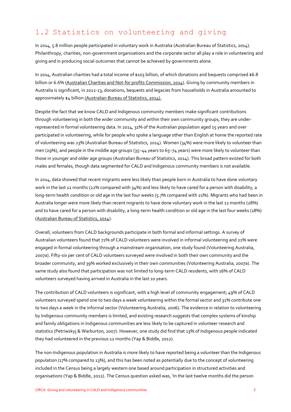## <span id="page-12-0"></span>1.2 Statistics on volunteering and giving

In 2014, 5.8 million people participated in voluntary work in Australia (Australian Bureau of Statistics, 2014). Philanthropy, charities, non-government organisations and the corporate sector all play a role in volunteering and giving and in producing social outcomes that cannot be achieved by governments alone.

In 2014, Australian charities had a total income of \$103 billion, of which donations and bequests comprised \$6.8 billion or 6.6% [\(Australian Charities and Not-for profits Commission, 2014\)](http://www.acnc.gov.au/ACNC/Pblctns/Rpts/CharityReport2014/ACNC/Publications/Reports/CharityReport2014.aspx). Giving by community members in Australia is significant, in 2012-13, donations, bequests and legacies from households in Australia amounted to approximately \$4 billion [\(Australian Bureau of](http://www.abs.gov.au/ausstats/abs@.nsf/mf/4159.0) Statistics, 2014).

Despite the fact that we know CALD and Indigenous community members make significant contributions through volunteering in both the wider community and within their own community groups, they are underrepresented in formal volunteering data. In 2014, 31% of the Australian population aged 15 years and over participated in volunteering, while for people who spoke a language other than English at home the reported rate of volunteering was 23% (Australian Bureau of Statistics, 2014). Women (34%) were more likely to volunteer than men (29%), and people in the middle age groups (35–44 years to 65–74 years) were more likely to volunteer than those in younger and older age groups (Australian Bureau of Statistics, 2014). This broad pattern existed for both males and females, though data segmented for CALD and Indigenous community members is not available.

In 2014, data showed that recent migrants were less likely than people born in Australia to have done voluntary work in the last 12 months (22% compared with 34%) and less likely to have cared for a person with disability, a long-term health condition or old age in the last four weeks (5.7% compared with 21%). Migrants who had been in Australia longer were more likely than recent migrants to have done voluntary work in the last 12 months (28%) and to have cared for a person with disability, a long-term health condition or old age in the last four weeks (18%) [\(Australian Bureau of Statistics, 2014\)](http://www.abs.gov.au/ausstats/abs@.nsf/mf/4159.0).

Overall, volunteers from CALD backgrounds participate in both formal and informal settings. A survey of Australian volunteers found that 72% of CALD volunteers were involved in informal volunteering and 21% were engaged in formal volunteering through a mainstream organisation, one study found (Volunteering Australia, 2007a). Fifty-six per cent of CALD volunteers surveyed were involved in both their own community and the broader community, and 39% worked exclusively in their own communities (Volunteering Australia, 2007a). The same study also found that participation was not limited to long-term CALD residents, with 16% of CALD volunteers surveyed having arrived in Australia in the last 10 years.

The contribution of CALD volunteers is significant, with a high level of community engagement; 49% of CALD volunteers surveyed spend one to two days a week volunteering within the formal sector and 31% contribute one to two days a week in the informal sector (Volunteering Australia, 2006). The evidence in relation to volunteering by Indigenous community members is limited, and existing research suggests that complex systems of kinship and family obligations in Indigenous communities are less likely to be captured in volunteer research and statistics (Petriwskyj & Warburton, 2007). However, one study did find that 13% of Indigenous people indicated they had volunteered in the previous 12 months (Yap & Biddle, 2012).

The non-Indigenous population in Australia is more likely to have reported being a volunteer than the Indigenous population (17% compared to 13%), and this has been noted as potentially due to the concept of volunteering included in the Census being a largely western one based around participation in structured activities and organisations (Yap & Biddle, 2012). The Census question asked was, 'In the last twelve months did the person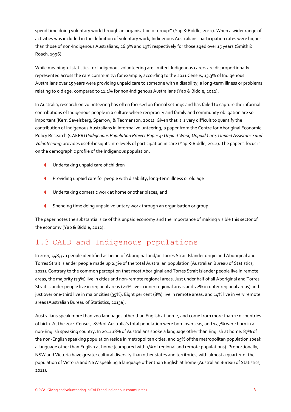spend time doing voluntary work through an organisation or group?' (Yap & Biddle, 2012). When a wider range of activities was included in the definition of voluntary work, Indigenous Australians' participation rates were higher than those of non-Indigenous Australians, 26.9% and 19% respectively for those aged over 15 years (Smith & Roach, 1996).

While meaningful statistics for Indigenous volunteering are limited, Indigenous carers are disproportionally represented across the care community; for example, according to the 2011 Census, 13.3% of Indigenous Australians over 15 years were providing unpaid care to someone with a disability, a long-term illness or problems relating to old age, compared to 11.2% for non-Indigenous Australians (Yap & Biddle, 2012).

In Australia, research on volunteering has often focused on formal settings and has failed to capture the informal contributions of Indigenous people in a culture where reciprocity and family and community obligation are so important (Kerr, Savelsberg, Sparrow, & Tedmanson, 2001). Given that it is very difficult to quantify the contribution of Indigenous Australians in informal volunteering, a paper from the Centre for Aboriginal Economic Policy Research (CAEPR) (*Indigenous Population Project Paper 4: Unpaid Work, Unpaid Care, Unpaid Assistance and Volunteering*) provides useful insights into levels of participation in care (Yap & Biddle, 2012). The paper's focus is on the demographic profile of the Indigenous population:

- **I** Undertaking unpaid care of children
- **C** Providing unpaid care for people with disability, long-term illness or old age
- **I** Undertaking domestic work at home or other places, and
- **Spending time doing unpaid voluntary work through an organisation or group.**

The paper notes the substantial size of this unpaid economy and the importance of making visible this sector of the economy (Yap & Biddle, 2012).

## <span id="page-13-0"></span>1.3 CALD and Indigenous populations

In 2011, 548,370 people identified as being of Aboriginal and/or Torres Strait Islander origin and Aboriginal and Torres Strait Islander people made up 2.5% of the total Australian population (Australian Bureau of Statistics, 2011). Contrary to the common perception that most Aboriginal and Torres Strait Islander people live in remote areas, the majority (79%) live in cities and non-remote regional areas. Just under half of all Aboriginal and Torres Strait Islander people live in regional areas (22% live in inner regional areas and 22% in outer regional areas) and just over one-third live in major cities (35%). Eight per cent (8%) live in remote areas, and 14% live in very remote areas (Australian Bureau of Statistics, 2013a).

Australians speak more than 200 languages other than English at home, and come from more than 240 countries of birth. At the 2011 Census, 28% of Australia's total population were born overseas, and 15.7% were born in a non-English speaking country. In 2011 18% of Australians spoke a language other than English at home. 87% of the non-English speaking population reside in metropolitan cities, and 25% of the metropolitan population speak a language other than English at home (compared with  $5\%$  of regional and remote populations). Proportionally, NSW and Victoria have greater cultural diversity than other states and territories, with almost a quarter of the population of Victoria and NSW speaking a language other than English at home (Australian Bureau of Statistics, 2011).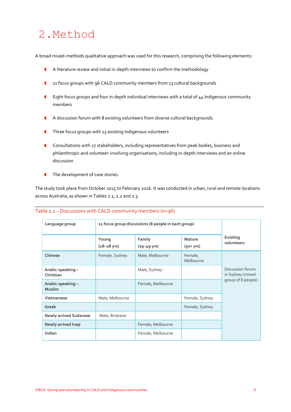## <span id="page-14-0"></span>2.Method

A broad mixed-methods qualitative approach was used for this research, comprising the following elements:

- A literature review and initial in-depth interviews to confirm the methodology
- 11 focus groups with 96 CALD community members from 13 cultural backgrounds
- Eight focus groups and four in-depth individual interviews with a total of 44 Indigenous community members
- A discussion forum with 8 existing volunteers from diverse cultural backgrounds
- Three focus groups with 15 existing Indigenous volunteers
- Consultations with 27 stakeholders, including representatives from peak bodies, business and philanthropic and volunteer-involving organisations, including in-depth interviews and an online discussion
- **The development of case stories.**

The study took place from October 2015 to February 2016. It was conducted in urban, rural and remote locations across Australia, as shown in Tables 2.1, 2.2 and 2.3.

| Language group                    | 11 focus group discussions (8 people in each group) |                                   |                      |                                      |
|-----------------------------------|-----------------------------------------------------|-----------------------------------|----------------------|--------------------------------------|
|                                   | Young<br>$(18 - 28 \text{ yrs})$                    | Family<br>$(29 - 49 \text{ yrs})$ | Mature<br>$(50+yrs)$ | Existing<br>volunteers               |
| Chinese                           | Female, Sydney                                      | Male, Melbourne                   | Female,<br>Melbourne |                                      |
| Arabic-speaking-<br>Christian     |                                                     | Male, Sydney                      |                      | Discussion forum<br>in Sydney (mixed |
| Arabic-speaking-<br><b>Muslim</b> |                                                     | Female, Melbourne                 |                      | group of 8 people)                   |
| Vietnamese                        | Male, Melbourne                                     |                                   | Female, Sydney       |                                      |
| Greek                             |                                                     |                                   | Female, Sydney       |                                      |
| <b>Newly arrived Sudanese</b>     | Male, Brisbane                                      |                                   |                      |                                      |
| Newly arrived Iraqi               |                                                     | Female, Melbourne                 |                      |                                      |
| Indian                            |                                                     | Female, Melbourne                 |                      |                                      |

#### Table 2.1 – Discussions with CALD community members (n=96)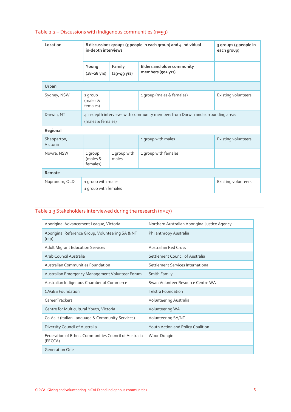| Location                | 8 discussions groups (5 people in each group) and 4 individual<br>in-depth interviews               | 3 groups (5 people in<br>each group) |                                                 |                     |  |
|-------------------------|-----------------------------------------------------------------------------------------------------|--------------------------------------|-------------------------------------------------|---------------------|--|
|                         | Young<br>$(18 - 28 \text{ yrs})$                                                                    | Family<br>$(29 - 49 \text{ yrs})$    | Elders and older community<br>members (50+ yrs) |                     |  |
| Urban                   |                                                                                                     |                                      |                                                 |                     |  |
| Sydney, NSW             | 1 group<br>(males &<br>females)                                                                     |                                      | 1 group (males & females)                       | Existing volunteers |  |
| Darwin, NT              | 4 in-depth interviews with community members from Darwin and surrounding areas<br>(males & females) |                                      |                                                 |                     |  |
| Regional                |                                                                                                     |                                      |                                                 |                     |  |
| Shepparton,<br>Victoria |                                                                                                     |                                      | 1 group with males                              | Existing volunteers |  |
| Nowra, NSW              | 1 group<br>(males &<br>females)                                                                     | 1 group with<br>males                | 1 group with females                            |                     |  |
| Remote                  |                                                                                                     |                                      |                                                 |                     |  |
| Napranum, QLD           | 1 group with males<br>1 group with females                                                          |                                      |                                                 | Existing volunteers |  |

## Table 2.3 Stakeholders interviewed during the research (n=27)

| Aboriginal Advancement League, Victoria                          | Northern Australian Aboriginal justice Agency |  |
|------------------------------------------------------------------|-----------------------------------------------|--|
| Aboriginal Reference Group, Volunteering SA & NT<br>(rep)        | Philanthropy Australia                        |  |
| <b>Adult Migrant Education Services</b>                          | <b>Australian Red Cross</b>                   |  |
| Arab Council Australia                                           | Settlement Council of Australia               |  |
| Australian Communities Foundation                                | Settlement Services International             |  |
| Australian Emergency Management Volunteer Forum                  | Smith Family                                  |  |
| Australian Indigenous Chamber of Commerce                        | Swan Volunteer Resource Centre WA             |  |
| <b>CAGES Foundation</b>                                          | <b>Telstra Foundation</b>                     |  |
| CareerTrackers                                                   | Volunteering Australia                        |  |
| Centre for Multicultural Youth, Victoria                         | Volunteering WA                               |  |
| Co.As.It (Italian Language & Community Services)                 | Volunteering SA/NT                            |  |
| Diversity Council of Australia                                   | Youth Action and Policy Coalition             |  |
| Federation of Ethnic Communities Council of Australia<br>(FECCA) | Woor-Dungin                                   |  |
| <b>Generation One</b>                                            |                                               |  |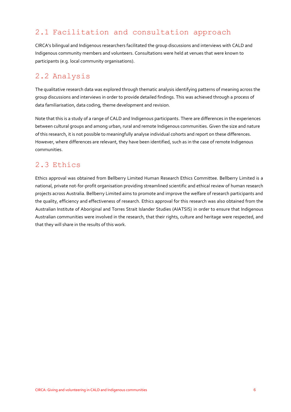## <span id="page-16-0"></span>2.1 Facilitation and consultation approach

CIRCA's bilingual and Indigenous researchers facilitated the group discussions and interviews with CALD and Indigenous community members and volunteers. Consultations were held at venues that were known to participants (e.g. local community organisations).

## <span id="page-16-1"></span>2.2 Analysis

The qualitative research data was explored through thematic analysis identifying patterns of meaning across the group discussions and interviews in order to provide detailed findings. This was achieved through a process of data familiarisation, data coding, theme development and revision.

Note that this is a study of a range of CALD and Indigenous participants. There are differences in the experiences between cultural groups and among urban, rural and remote Indigenous communities. Given the size and nature of this research, it is not possible to meaningfully analyse individual cohorts and report on these differences. However, where differences are relevant, they have been identified, such as in the case of remote Indigenous communities.

### <span id="page-16-2"></span>2.3 Ethics

Ethics approval was obtained from Bellberry Limited Human Research Ethics Committee. Bellberry Limited is a national, private not-for-profit organisation providing streamlined scientific and ethical review of human research projects across Australia. Bellberry Limited aims to promote and improve the welfare of research participants and the quality, efficiency and effectiveness of research. Ethics approval for this research was also obtained from the Australian Institute of Aboriginal and Torres Strait Islander Studies (AIATSIS) in order to ensure that Indigenous Australian communities were involved in the research, that their rights, culture and heritage were respected, and that they will share in the results of this work.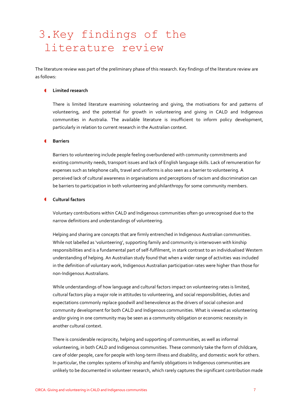## <span id="page-17-0"></span>3.Key findings of the literature review

The literature review was part of the preliminary phase of this research. Key findings of the literature review are as follows:

#### **Limited research**

There is limited literature examining volunteering and giving, the motivations for and patterns of volunteering, and the potential for growth in volunteering and giving in CALD and Indigenous communities in Australia. The available literature is insufficient to inform policy development, particularly in relation to current research in the Australian context.

#### **Barriers**

Barriers to volunteering include people feeling overburdened with community commitments and existing community needs, transport issues and lack of English language skills. Lack of remuneration for expenses such as telephone calls, travel and uniforms is also seen as a barrier to volunteering. A perceived lack of cultural awareness in organisations and perceptions of racism and discrimination can be barriers to participation in both volunteering and philanthropy for some community members.

#### **Cultural factors**

Voluntary contributions within CALD and Indigenous communities often go unrecognised due to the narrow definitions and understandings of volunteering.

Helping and sharing are concepts that are firmly entrenched in Indigenous Australian communities. While not labelled as 'volunteering', supporting family and community is interwoven with kinship responsibilities and is a fundamental part of self-fulfilment, in stark contrast to an individualised Western understanding of helping. An Australian study found that when a wider range of activities was included in the definition of voluntary work, Indigenous Australian participation rates were higher than those for non-Indigenous Australians.

While understandings of how language and cultural factors impact on volunteering rates is limited, cultural factors play a major role in attitudes to volunteering, and social responsibilities, duties and expectations commonly replace goodwill and benevolence as the drivers of social cohesion and community development for both CALD and Indigenous communities. What is viewed as volunteering and/or giving in one community may be seen as a community obligation or economic necessity in another cultural context.

There is considerable reciprocity, helping and supporting of communities, as well as informal volunteering, in both CALD and Indigenous communities. These commonly take the form of childcare, care of older people, care for people with long-term illness and disability, and domestic work for others. In particular, the complex systems of kinship and family obligations in Indigenous communities are unlikely to be documented in volunteer research, which rarely captures the significant contribution made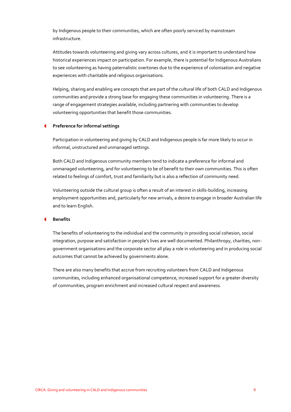by Indigenous people to their communities, which are often poorly serviced by mainstream infrastructure.

Attitudes towards volunteering and giving vary across cultures, and it is important to understand how historical experiences impact on participation. For example, there is potential for Indigenous Australians to see volunteering as having paternalistic overtones due to the experience of colonisation and negative experiences with charitable and religious organisations.

Helping, sharing and enabling are concepts that are part of the cultural life of both CALD and Indigenous communities and provide a strong base for engaging these communities in volunteering. There is a range of engagement strategies available, including partnering with communities to develop volunteering opportunities that benefit those communities.

#### **Preference for informal settings**

Participation in volunteering and giving by CALD and Indigenous people is far more likely to occur in informal, unstructured and unmanaged settings.

Both CALD and Indigenous community members tend to indicate a preference for informal and unmanaged volunteering, and for volunteering to be of benefit to their own communities. This is often related to feelings of comfort, trust and familiarity but is also a reflection of community need.

Volunteering outside the cultural group is often a result of an interest in skills-building, increasing employment opportunities and, particularly for new arrivals, a desire to engage in broader Australian life and to learn English.

#### **Benefits**

The benefits of volunteering to the individual and the community in providing social cohesion, social integration, purpose and satisfaction in people's lives are well documented. Philanthropy, charities, nongovernment organisations and the corporate sector all play a role in volunteering and in producing social outcomes that cannot be achieved by governments alone.

There are also many benefits that accrue from recruiting volunteers from CALD and Indigenous communities, including enhanced organisational competence, increased support for a greater diversity of communities, program enrichment and increased cultural respect and awareness.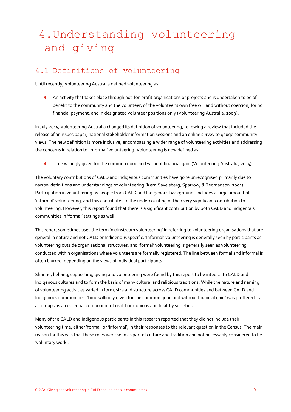# <span id="page-19-0"></span>4.Understanding volunteering and giving

## <span id="page-19-1"></span>4.1 Definitions of volunteering

Until recently, Volunteering Australia defined volunteering as:

 An activity that takes place through not-for-profit organisations or projects and is undertaken to be of benefit to the community and the volunteer, of the volunteer's own free will and without coercion, for no financial payment, and in designated volunteer positions only (Volunteering Australia, 2009).

In July 2015, Volunteering Australia changed its definition of volunteering, following a review that included the release of an issues paper, national stakeholder information sessions and an online survey to gauge community views. The new definition is more inclusive, encompassing a wider range of volunteering activities and addressing the concerns in relation to 'informal' volunteering. Volunteering is now defined as:

Time willingly given for the common good and without financial gain (Volunteering Australia, 2015).

The voluntary contributions of CALD and Indigenous communities have gone unrecognised primarily due to narrow definitions and understandings of volunteering (Kerr, Savelsberg, Sparrow, & Tedmanson, 2001). Participation in volunteering by people from CALD and Indigenous backgrounds includes a large amount of 'informal' volunteering, and this contributes to the undercounting of their very significant contribution to volunteering. However, this report found that there is a significant contribution by both CALD and Indigenous communities in 'formal' settings as well.

This report sometimes uses the term 'mainstream volunteering' in referring to volunteering organisations that are general in nature and not CALD or Indigenous specific. 'Informal' volunteering is generally seen by participants as volunteering outside organisational structures, and 'formal' volunteering is generally seen as volunteering conducted within organisations where volunteers are formally registered. The line between formal and informal is often blurred, depending on the views of individual participants.

Sharing, helping, supporting, giving and volunteering were found by this report to be integral to CALD and Indigenous cultures and to form the basis of many cultural and religious traditions. While the nature and naming of volunteering activities varied in form, size and structure across CALD communities and between CALD and Indigenous communities, 'time willingly given for the common good and without financial gain' was proffered by all groups as an essential component of civil, harmonious and healthy societies.

Many of the CALD and Indigenous participants in this research reported that they did not include their volunteering time, either 'formal' or 'informal', in their responses to the relevant question in the Census. The main reason for this was that these roles were seen as part of culture and tradition and not necessarily considered to be 'voluntary work'.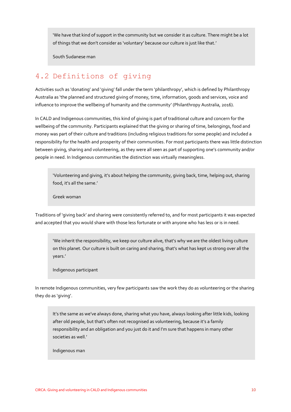'We have that kind of support in the community but we consider it as culture. There might be a lot of things that we don't consider as 'voluntary' because our culture is just like that.'

South Sudanese man

## <span id="page-20-0"></span>4.2 Definitions of giving

Activities such as 'donating' and 'giving' fall under the term 'philanthropy', which is defined by Philanthropy Australia as 'the planned and structured giving of money, time, information, goods and services, voice and influence to improve the wellbeing of humanity and the community' (Philanthropy Australia, 2016).

In CALD and Indigenous communities, this kind of giving is part of traditional culture and concern for the wellbeing of the community. Participants explained that the giving or sharing of time, belongings, food and money was part of their culture and traditions (including religious traditions for some people) and included a responsibility for the health and prosperity of their communities. For most participants there was little distinction between giving, sharing and volunteering, as they were all seen as part of supporting one's community and/or people in need. In Indigenous communities the distinction was virtually meaningless.

'Volunteering and giving, it's about helping the community, giving back, time, helping out, sharing food, it's all the same.'

Greek woman

Traditions of 'giving back' and sharing were consistently referred to, and for most participants it was expected and accepted that you would share with those less fortunate or with anyone who has less or is in need.

'We inherit the responsibility, we keep our culture alive, that's why we are the oldest living culture on this planet. Our culture is built on caring and sharing, that's what has kept us strong over all the years.'

Indigenous participant

In remote Indigenous communities, very few participants saw the work they do as volunteering or the sharing they do as 'giving'.

It's the same as we've always done, sharing what you have, always looking after little kids, looking after old people, but that's often not recognised as volunteering, because it's a family responsibility and an obligation and you just do it and I'm sure that happens in many other societies as well.'

Indigenous man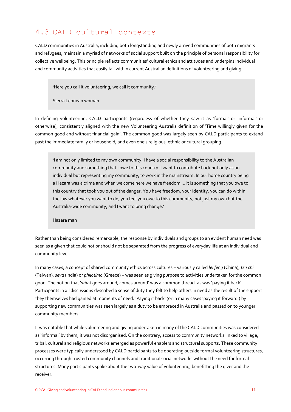## <span id="page-21-0"></span>4.3 CALD cultural contexts

CALD communities in Australia, including both longstanding and newly arrived communities of both migrants and refugees, maintain a myriad of networks of social support built on the principle of personal responsibility for collective wellbeing. This principle reflects communities' cultural ethics and attitudes and underpins individual and community activities that easily fall within current Australian definitions of volunteering and giving.

'Here you call it volunteering, we call it community.'

Sierra Leonean woman

In defining volunteering, CALD participants (regardless of whether they saw it as 'formal' or 'informal' or otherwise), consistently aligned with the new Volunteering Australia definition of 'Time willingly given for the common good and without financial gain'. The common good was largely seen by CALD participants to extend past the immediate family or household, and even one's religious, ethnic or cultural grouping.

'I am not only limited to my own community. I have a social responsibility to the Australian community and something that I owe to this country. I want to contribute back not only as an individual but representing my community, to work in the mainstream. In our home country being a Hazara was a crime and when we come here we have freedom ... it is something that you owe to this country that took you out of the danger. You have freedom, your identity, you can do within the law whatever you want to do, you feel you owe to this community, not just my own but the Australia-wide community, and I want to bring change.'

#### Hazara man

Rather than being considered remarkable, the response by individuals and groups to an evident human need was seen as a given that could not or should not be separated from the progress of everyday life at an individual and community level.

In many cases, a concept of shared community ethics across cultures – variously called *lei feng* (China), *tzu chi* (Taiwan), *seva* (India) or *philotimo* (Greece) – was seen as giving purpose to activities undertaken for the common good. The notion that 'what goes around, comes around' was a common thread, as was 'paying it back'. Participants in all discussions described a sense of duty they felt to help others in need as the result of the support they themselves had gained at moments of need. 'Paying it back' (or in many cases 'paying it forward') by supporting new communities was seen largely as a duty to be embraced in Australia and passed on to younger community members.

It was notable that while volunteering and giving undertaken in many of the CALD communities was considered as 'informal' by them, it was not disorganised. On the contrary, access to community networks linked to village, tribal, cultural and religious networks emerged as powerful enablers and structural supports. These community processes were typically understood by CALD participants to be operating outside formal volunteering structures, occurring through trusted community channels and traditional social networks without the need for formal structures. Many participants spoke about the two-way value of volunteering, benefitting the giver and the receiver.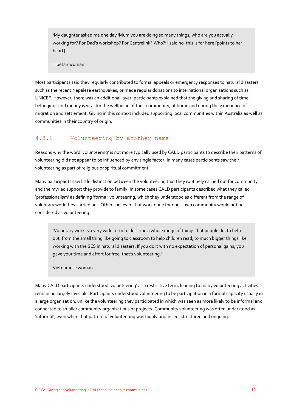'My daughter asked me one day 'Mum you are doing so many things, who are you actually working for? For Dad's workshop? For Centrelink? Who?' I said no, this is for here [points to her heart].'

Tibetan woman

Most participants said they regularly contributed to formal appeals or emergency responses to natural disasters such as the recent Nepalese earthquakes, or made regular donations to international organisations such as UNICEF. However, there was an additional layer: participants explained that the giving and sharing of time, belongings and money is vital for the wellbeing of their community, at home and during the experience of migration and settlement. Giving in this context included supporting local communities within Australia as well as communities in their country of origin.

#### 4.3.1 Volunteering by another name

Reasons why the word 'volunteering' is not more typically used by CALD participants to describe their patterns of volunteering did not appear to be influenced by any single factor. In many cases participants saw their volunteering as part of religious or spiritual commitment.

Many participants saw little distinction between the volunteering that they routinely carried out for community and the myriad support they provide to family. In some cases CALD participants described what they called 'professionalism' as defining 'formal' volunteering, which they understood as different from the range of voluntary work they carried out. Others believed that work done for one's own community would not be considered as volunteering.

'Voluntary work is a very wide term to describe a whole range of things that people do, to help out, from the small thing like going to classroom to help children read, to much bigger things like working with the SES in natural disasters. If you do it with no expectation of personal gains, you gave your time and effort for free, that's volunteering.'

Vietnamese woman

Many CALD participants understood 'volunteering' as a restrictive term, leading to many volunteering activities remaining largely invisible. Participants understood volunteering to be participation in a formal capacity usually in a large organisation, unlike the volunteering they participated in which was seen as more likely to be informal and connected to smaller community organisations or projects. Community volunteering was often understood as 'informal', even when that pattern of volunteering was highly organised, structured and ongoing.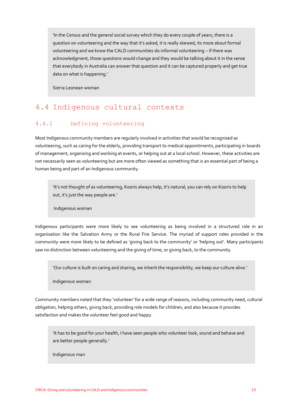'In the Census and the general social survey which they do every couple of years, there is a question on volunteering and the way that it's asked, it is really skewed, its more about formal volunteering and we know the CALD communities do informal volunteering – if there was acknowledgment, those questions would change and they would be talking about it in the sense that everybody in Australia can answer that question and it can be captured properly and get true data on what is happening.'

Sierra Leonean woman

## <span id="page-23-0"></span>4.4 Indigenous cultural contexts

#### 4.4.1 Defining volunteering

Most Indigenous community members are regularly involved in activities that would be recognised as volunteering, such as caring for the elderly, providing transport to medical appointments, participating in boards of management, organising and working at events, or helping out at a local school. However, these activities are not necessarily seen as volunteering but are more often viewed as something that is an essential part of being a human being and part of an Indigenous community.

'It's not thought of as volunteering, Kooris always help, it's natural, you can rely on Kooris to help out, it's just the way people are.'

Indigenous woman

Indigenous participants were more likely to see volunteering as being involved in a structured role in an organisation like the Salvation Army or the Rural Fire Service. The myriad of support roles provided in the community were more likely to be defined as 'giving back to the community' or 'helping out'. Many participants saw no distinction between volunteering and the giving of time, or giving back, to the community.

'Our culture is built on caring and sharing, we inherit the responsibility, we keep our culture alive.'

Indigenous woman

Community members noted that they 'volunteer' for a wide range of reasons, including community need, cultural obligation, helping others, giving back, providing role models for children, and also because it provides satisfaction and makes the volunteer feel good and happy.

'It has to be good for your health, I have seen people who volunteer look, sound and behave and are better people generally.'

Indigenous man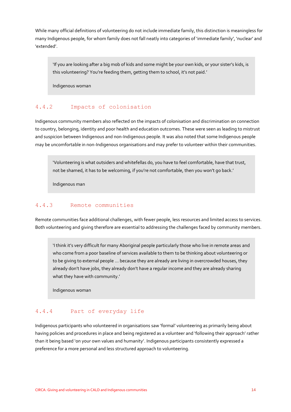While many official definitions of volunteering do not include immediate family, this distinction is meaningless for many Indigenous people, for whom family does not fall neatly into categories of 'immediate family', 'nuclear' and 'extended'.

'If you are looking after a big mob of kids and some might be your own kids, or your sister's kids, is this volunteering? You're feeding them, getting them to school, it's not paid.'

Indigenous woman

#### 4.4.2 Impacts of colonisation

Indigenous community members also reflected on the impacts of colonisation and discrimination on connection to country, belonging, identity and poor health and education outcomes. These were seen as leading to mistrust and suspicion between Indigenous and non-Indigenous people. It was also noted that some Indigenous people may be uncomfortable in non-Indigenous organisations and may prefer to volunteer within their communities.

'Volunteering is what outsiders and whitefellas do, you have to feel comfortable, have that trust, not be shamed, it has to be welcoming, if you're not comfortable, then you won't go back.'

Indigenous man

#### 4.4.3 Remote communities

Remote communities face additional challenges, with fewer people, less resources and limited access to services. Both volunteering and giving therefore are essential to addressing the challenges faced by community members.

'I think it's very difficult for many Aboriginal people particularly those who live in remote areas and who come from a poor baseline of services available to them to be thinking about volunteering or to be giving to external people ... because they are already are living in overcrowded houses, they already don't have jobs, they already don't have a regular income and they are already sharing what they have with community.'

Indigenous woman

#### 4.4.4 Part of everyday life

Indigenous participants who volunteered in organisations saw 'formal' volunteering as primarily being about having policies and procedures in place and being registered as a volunteer and 'following their approach' rather than it being based 'on your own values and humanity'. Indigenous participants consistently expressed a preference for a more personal and less structured approach to volunteering.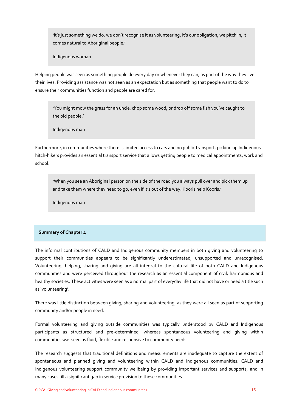'It's just something we do, we don't recognise it as volunteering, it's our obligation, we pitch in, it comes natural to Aboriginal people.'

Indigenous woman

Helping people was seen as something people do every day or whenever they can, as part of the way they live their lives. Providing assistance was not seen as an expectation but as something that people want to do to ensure their communities function and people are cared for.

'You might mow the grass for an uncle, chop some wood, or drop off some fish you've caught to the old people.'

Indigenous man

Furthermore, in communities where there is limited access to cars and no public transport, picking up Indigenous hitch-hikers provides an essential transport service that allows getting people to medical appointments, work and school.

'When you see an Aboriginal person on the side of the road you always pull over and pick them up and take them where they need to go, even if it's out of the way. Kooris help Kooris.'

Indigenous man

#### **Summary of Chapter 4**

The informal contributions of CALD and Indigenous community members in both giving and volunteering to support their communities appears to be significantly underestimated, unsupported and unrecognised. Volunteering, helping, sharing and giving are all integral to the cultural life of both CALD and Indigenous communities and were perceived throughout the research as an essential component of civil, harmonious and healthy societies. These activities were seen as a normal part of everyday life that did not have or need a title such as 'volunteering'.

There was little distinction between giving, sharing and volunteering, as they were all seen as part of supporting community and/or people in need.

Formal volunteering and giving outside communities was typically understood by CALD and Indigenous participants as structured and pre-determined, whereas spontaneous volunteering and giving within communities was seen as fluid, flexible and responsive to community needs.

The research suggests that traditional definitions and measurements are inadequate to capture the extent of spontaneous and planned giving and volunteering within CALD and Indigenous communities. CALD and Indigenous volunteering support community wellbeing by providing important services and supports, and in many cases fill a significant gap in service provision to these communities.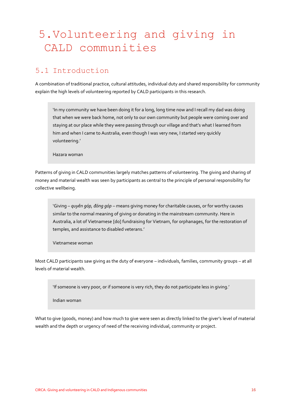## <span id="page-26-0"></span>5.Volunteering and giving in CALD communities

## <span id="page-26-1"></span>5.1 Introduction

A combination of traditional practice, cultural attitudes, individual duty and shared responsibility for community explain the high levels of volunteering reported by CALD participants in this research.

'In my community we have been doing it for a long, long time now and I recall my dad was doing that when we were back home, not only to our own community but people were coming over and staying at our place while they were passing through our village and that's what I learned from him and when I came to Australia, even though I was very new, I started very quickly volunteering.'

Hazara woman

Patterns of giving in CALD communities largely matches patterns of volunteering. The giving and sharing of money and material wealth was seen by participants as central to the principle of personal responsibility for collective wellbeing.

'Giving – *quyên góp, đóng góp* – means giving money for charitable causes, or for worthy causes similar to the normal meaning of giving or donating in the mainstream community. Here in Australia, a lot of Vietnamese [do] fundraising for Vietnam, for orphanages, for the restoration of temples, and assistance to disabled veterans.'

Vietnamese woman

Most CALD participants saw giving as the duty of everyone – individuals, families, community groups – at all levels of material wealth.

'If someone is very poor, or if someone is very rich, they do not participate less in giving.'

Indian woman

What to give (goods, money) and how much to give were seen as directly linked to the giver's level of material wealth and the depth or urgency of need of the receiving individual, community or project.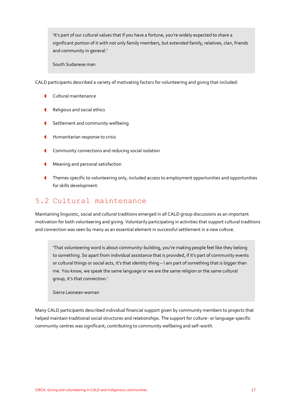'It's part of our cultural values that if you have a fortune, you're widely expected to share a significant portion of it with not only family members, but extended family, relatives, clan, friends and community in general.'

South Sudanese man

CALD participants described a variety of motivating factors for volunteering and giving that included:

- **Cultural maintenance**
- Religious and social ethics
- **G** Settlement and community wellbeing
- **Humanitarian response to crisis**
- **Community connections and reducing social isolation**
- **C** Meaning and personal satisfaction
- **Themes specific to volunteering only, included access to employment opportunities and opportunities** for skills development.

### <span id="page-27-0"></span>5.2 Cultural maintenance

Maintaining linguistic, social and cultural traditions emerged in all CALD group discussions as an important motivation for both volunteering and giving. Voluntarily participating in activities that support cultural traditions and connection was seen by many as an essential element in successful settlement in a new culture.

'That volunteering word is about community-building, you're making people feel like they belong to something. So apart from individual assistance that is provided, if it's part of community events or cultural things or social acts, it's that identity thing – I am part of something that is bigger than me. You know, we speak the same language or we are the same religion or the same cultural group, it's that connection.'

Sierra Leonean woman

Many CALD participants described individual financial support given by community members to projects that helped maintain traditional social structures and relationships. The support for culture- or language-specific community centres was significant, contributing to community wellbeing and self-worth.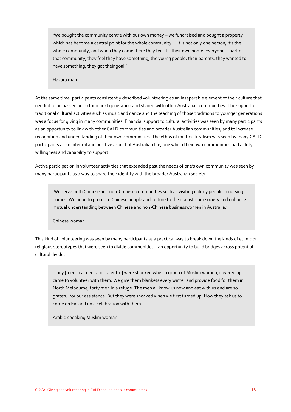'We bought the community centre with our own money – we fundraised and bought a property which has become a central point for the whole community ... it is not only one person, it's the whole community, and when they come there they feel it's their own home. Everyone is part of that community, they feel they have something, the young people, their parents, they wanted to have something, they got their goal.'

Hazara man

At the same time, participants consistently described volunteering as an inseparable element of their culture that needed to be passed on to their next generation and shared with other Australian communities. The support of traditional cultural activities such as music and dance and the teaching of those traditions to younger generations was a focus for giving in many communities. Financial support to cultural activities was seen by many participants as an opportunity to link with other CALD communities and broader Australian communities, and to increase recognition and understanding of their own communities. The ethos of multiculturalism was seen by many CALD participants as an integral and positive aspect of Australian life, one which their own communities had a duty, willingness and capability to support.

Active participation in volunteer activities that extended past the needs of one's own community was seen by many participants as a way to share their identity with the broader Australian society.

'We serve both Chinese and non-Chinese communities such as visiting elderly people in nursing homes. We hope to promote Chinese people and culture to the mainstream society and enhance mutual understanding between Chinese and non-Chinese businesswomen in Australia.'

Chinese woman

This kind of volunteering was seen by many participants as a practical way to break down the kinds of ethnic or religious stereotypes that were seen to divide communities – an opportunity to build bridges across potential cultural divides.

'They [men in a men's crisis centre] were shocked when a group of Muslim women, covered up, came to volunteer with them. We give them blankets every winter and provide food for them in North Melbourne, forty men in a refuge. The men all know us now and eat with us and are so grateful for our assistance. But they were shocked when we first turned up. Now they ask us to come on Eid and do a celebration with them.'

<span id="page-28-0"></span>Arabic-speaking Muslim woman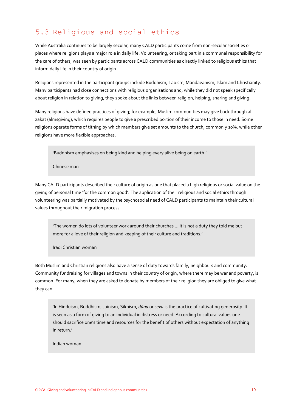## 5.3 Religious and social ethics

While Australia continues to be largely secular, many CALD participants come from non-secular societies or places where religions plays a major role in daily life. Volunteering, or taking part in a communal responsibility for the care of others, was seen by participants across CALD communities as directly linked to religious ethics that inform daily life in their country of origin.

Religions represented in the participant groups include Buddhism, Taoism, Mandaeanism, Islam and Christianity. Many participants had close connections with religious organisations and, while they did not speak specifically about religion in relation to giving, they spoke about the links between religion, helping, sharing and giving.

Many religions have defined practices of giving; for example, Muslim communities may give back through alzakat (almsgiving), which requires people to give a prescribed portion of their income to those in need. Some religions operate forms of tithing by which members give set amounts to the church, commonly 10%, while other religions have more flexible approaches.

'Buddhism emphasises on being kind and helping every alive being on earth.'

Chinese man

Many CALD participants described their culture of origin as one that placed a high religious or social value on the giving of personal time 'for the common good'. The application of their religious and social ethics through volunteering was partially motivated by the psychosocial need of CALD participants to maintain their cultural values throughout their migration process.

'The women do lots of volunteer work around their churches ... it is not a duty they told me but more for a love of their religion and keeping of their culture and traditions.'

Iraqi Christian woman

Both Muslim and Christian religions also have a sense of duty towards family, neighbours and community. Community fundraising for villages and towns in their country of origin, where there may be war and poverty, is common. For many, when they are asked to donate by members of their religion they are obliged to give what they can.

'In Hinduism, Buddhism, Jainism, Sikhism, *dāna* or *seva* is the practice of cultivating generosity. It is seen as a form of giving to an individual in distress or need. According to cultural values one should sacrifice one's time and resources for the benefit of others without expectation of anything in return.'

Indian woman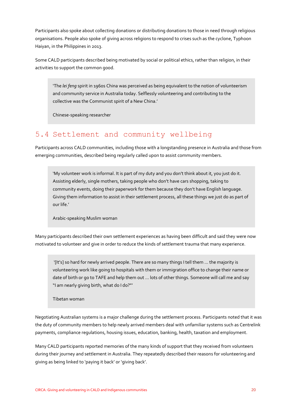Participants also spoke about collecting donations or distributing donations to those in need through religious organisations. People also spoke of giving across religions to respond to crises such as the cyclone, Typhoon Haiyan, in the Philippines in 2013.

Some CALD participants described being motivated by social or political ethics, rather than religion, in their activities to support the common good.

'The *lei feng* spirit in 1960s China was perceived as being equivalent to the notion of volunteerism and community service in Australia today. Selflessly volunteering and contributing to the collective was the Communist spirit of a New China.'

Chinese-speaking researcher

## <span id="page-30-0"></span>5.4 Settlement and community wellbeing

Participants across CALD communities, including those with a longstanding presence in Australia and those from emerging communities, described being regularly called upon to assist community members.

'My volunteer work is informal. It is part of my duty and you don't think about it, you just do it. Assisting elderly, single mothers, taking people who don't have cars shopping, taking to community events, doing their paperwork for them because they don't have English language. Giving them information to assist in their settlement process, all these things we just do as part of our life.'

Arabic-speaking Muslim woman

Many participants described their own settlement experiences as having been difficult and said they were now motivated to volunteer and give in order to reduce the kinds of settlement trauma that many experience.

'[It's] so hard for newly arrived people. There are so many things I tell them ... the majority is volunteering work like going to hospitals with them or immigration office to change their name or date of birth or go to TAFE and help them out ... lots of other things. Someone will call me and say "I am nearly giving birth, what do I do?"'

Tibetan woman

Negotiating Australian systems is a major challenge during the settlement process. Participants noted that it was the duty of community members to help newly arrived members deal with unfamiliar systems such as Centrelink payments, compliance regulations, housing issues, education, banking, health, taxation and employment.

Many CALD participants reported memories of the many kinds of support that they received from volunteers during their journey and settlement in Australia. They repeatedly described their reasons for volunteering and giving as being linked to 'paying it back' or 'giving back'.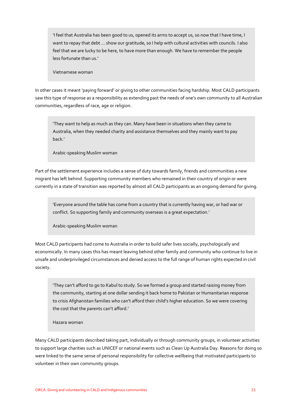'I feel that Australia has been good to us, opened its arms to accept us, so now that I have time, I want to repay that debt ... show our gratitude, so I help with cultural activities with councils. I also feel that we are lucky to be here, to have more than enough. We have to remember the people less fortunate than us.'

Vietnamese woman

In other cases it meant 'paying forward' or giving to other communities facing hardship. Most CALD participants saw this type of response as a responsibility as extending past the needs of one's own community to all Australian communities, regardless of race, age or religion.

'They want to help as much as they can. Many have been in situations when they came to Australia, when they needed charity and assistance themselves and they mainly want to pay back.'

Arabic-speaking Muslim woman

Part of the settlement experience includes a sense of duty towards family, friends and communities a new migrant has left behind. Supporting community members who remained in their country of origin or were currently in a state of transition was reported by almost all CALD participants as an ongoing demand for giving.

'Everyone around the table has come from a country that is currently having war, or had war or conflict. So supporting family and community overseas is a great expectation.'

Arabic-speaking Muslim woman

Most CALD participants had come to Australia in order to build safer lives socially, psychologically and economically. In many cases this has meant leaving behind other family and community who continue to live in unsafe and underprivileged circumstances and denied access to the full range of human rights expected in civil society.

'They can't afford to go to Kabul to study. So we formed a group and started raising money from the community, starting at one dollar sending it back home to Pakistan or Humanitarian response to crisis Afghanistan families who can't afford their child's higher education. So we were covering the cost that the parents can't afford.'

Hazara woman

Many CALD participants described taking part, individually or through community groups, in volunteer activities to support large charities such as UNICEF or national events such as Clean Up Australia Day. Reasons for doing so were linked to the same sense of personal responsibility for collective wellbeing that motivated participants to volunteer in their own community groups.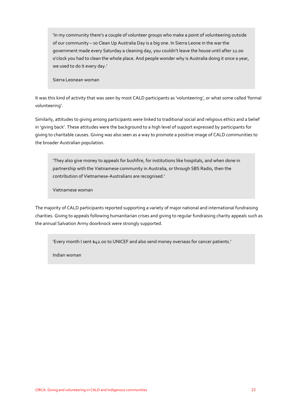'In my community there's a couple of volunteer groups who make a point of volunteering outside of our community – so Clean Up Australia Day is a big one. In Sierra Leone in the war the government made every Saturday a cleaning day, you couldn't leave the house until after 12.00 o'clock you had to clean the whole place. And people wonder why is Australia doing it once a year, we used to do it every day.'

Sierra Leonean woman

It was this kind of activity that was seen by most CALD participants as 'volunteering', or what some called 'formal volunteering'.

Similarly, attitudes to giving among participants were linked to traditional social and religious ethics and a belief in 'giving back'. These attitudes were the background to a high level of support expressed by participants for giving to charitable causes. Giving was also seen as a way to promote a positive image of CALD communities to the broader Australian population.

'They also give money to appeals for bushfire, for institutions like hospitals, and when done in partnership with the Vietnamese community in Australia, or through SBS Radio, then the contribution of Vietnamese-Australians are recognised.'

Vietnamese woman

The majority of CALD participants reported supporting a variety of major national and international fundraising charities. Giving to appeals following humanitarian crises and giving to regular fundraising charity appeals such as the annual Salvation Army doorknock were strongly supported.

'Every month I sent \$42.00 to UNICEF and also send money overseas for cancer patients.'

Indian woman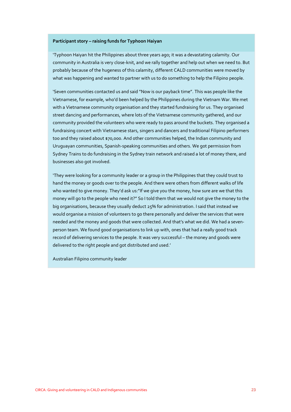#### **Participant story – raising funds for Typhoon Haiyan**

'Typhoon Haiyan hit the Philippines about three years ago; it was a devastating calamity. Our community in Australia is very close-knit, and we rally together and help out when we need to. But probably because of the hugeness of this calamity, different CALD communities were moved by what was happening and wanted to partner with us to do something to help the Filipino people.

'Seven communities contacted us and said "Now is our payback time". This was people like the Vietnamese, for example, who'd been helped by the Philippines during the Vietnam War. We met with a Vietnamese community organisation and they started fundraising for us. They organised street dancing and performances, where lots of the Vietnamese community gathered, and our community provided the volunteers who were ready to pass around the buckets. They organised a fundraising concert with Vietnamese stars, singers and dancers and traditional Filipino performers too and they raised about \$70,000. And other communities helped, the Indian community and Uruguayan communities, Spanish-speaking communities and others. We got permission from Sydney Trains to do fundraising in the Sydney train network and raised a lot of money there, and businesses also got involved.

'They were looking for a community leader or a group in the Philippines that they could trust to hand the money or goods over to the people. And there were others from different walks of life who wanted to give money. They'd ask us:"If we give you the money, how sure are we that this money will go to the people who need it?" So I told them that we would not give the money to the big organisations, because they usually deduct 25% for administration. I said that instead we would organise a mission of volunteers to go there personally and deliver the services that were needed and the money and goods that were collected. And that's what we did. We had a sevenperson team. We found good organisations to link up with, ones that had a really good track record of delivering services to the people. It was very successful – the money and goods were delivered to the right people and got distributed and used.'

Australian Filipino community leader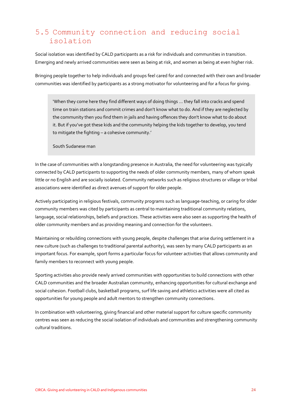## <span id="page-34-0"></span>5.5 Community connection and reducing social isolation

Social isolation was identified by CALD participants as a risk for individuals and communities in transition. Emerging and newly arrived communities were seen as being at risk, and women as being at even higher risk.

Bringing people together to help individuals and groups feel cared for and connected with their own and broader communities was identified by participants as a strong motivator for volunteering and for a focus for giving.

'When they come here they find different ways of doing things … they fall into cracks and spend time on train stations and commit crimes and don't know what to do. And if they are neglected by the community then you find them in jails and having offences they don't know what to do about it. But if you've got these kids and the community helping the kids together to develop, you tend to mitigate the fighting – a cohesive community.'

South Sudanese man

In the case of communities with a longstanding presence in Australia, the need for volunteering was typically connected by CALD participants to supporting the needs of older community members, many of whom speak little or no English and are socially isolated. Community networks such as religious structures or village or tribal associations were identified as direct avenues of support for older people.

Actively participating in religious festivals, community programs such as language-teaching, or caring for older community members was cited by participants as central to maintaining traditional community relations, language, social relationships, beliefs and practices. These activities were also seen as supporting the health of older community members and as providing meaning and connection for the volunteers.

Maintaining or rebuilding connections with young people, despite challenges that arise during settlement in a new culture (such as challenges to traditional parental authority), was seen by many CALD participants as an important focus. For example, sport forms a particular focus for volunteer activities that allows community and family members to reconnect with young people.

Sporting activities also provide newly arrived communities with opportunities to build connections with other CALD communities and the broader Australian community, enhancing opportunities for cultural exchange and social cohesion. Football clubs, basketball programs, surf life saving and athletics activities were all cited as opportunities for young people and adult mentors to strengthen community connections.

In combination with volunteering, giving financial and other material support for culture specific community centres was seen as reducing the social isolation of individuals and communities and strengthening community cultural traditions.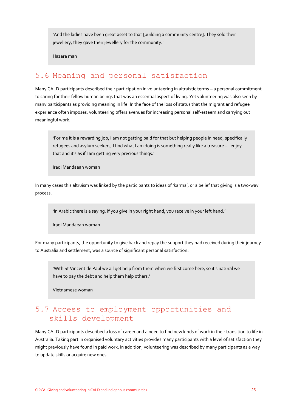'And the ladies have been great asset to that [building a community centre]. They sold their jewellery, they gave their jewellery for the community.'

Hazara man

## <span id="page-35-0"></span>5.6 Meaning and personal satisfaction

Many CALD participants described their participation in volunteering in altruistic terms – a personal commitment to caring for their fellow human beings that was an essential aspect of living. Yet volunteering was also seen by many participants as providing meaning in life. In the face of the loss of status that the migrant and refugee experience often imposes, volunteering offers avenues for increasing personal self-esteem and carrying out meaningful work.

'For me it is a rewarding job, I am not getting paid for that but helping people in need, specifically refugees and asylum seekers, I find what I am doing is something really like a treasure – I enjoy that and it's as if I am getting very precious things.'

Iraqi Mandaean woman

In many cases this altruism was linked by the participants to ideas of 'karma', or a belief that giving is a two-way process.

'In Arabic there is a saying, if you give in your right hand, you receive in your left hand.'

Iraqi Mandaean woman

For many participants, the opportunity to give back and repay the support they had received during their journey to Australia and settlement, was a source of significant personal satisfaction.

'With St Vincent de Paul we all get help from them when we first come here, so it's natural we have to pay the debt and help them help others.'

Vietnamese woman

## <span id="page-35-1"></span>5.7 Access to employment opportunities and skills development

Many CALD participants described a loss of career and a need to find new kinds of work in their transition to life in Australia. Taking part in organised voluntary activities provides many participants with a level of satisfaction they might previously have found in paid work. In addition, volunteering was described by many participants as a way to update skills or acquire new ones.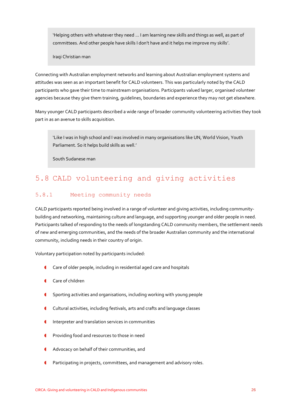'Helping others with whatever they need ... I am learning new skills and things as well, as part of committees. And other people have skills I don't have and it helps me improve my skills'.

Iraqi Christian man

Connecting with Australian employment networks and learning about Australian employment systems and attitudes was seen as an important benefit for CALD volunteers. This was particularly noted by the CALD participants who gave their time to mainstream organisations. Participants valued larger, organised volunteer agencies because they give them training, guidelines, boundaries and experience they may not get elsewhere.

Many younger CALD participants described a wide range of broader community volunteering activities they took part in as an avenue to skills acquisition.

'Like I was in high school and I was involved in many organisations like UN, World Vision, Youth Parliament. So it helps build skills as well.'

South Sudanese man

# 5.8 CALD volunteering and giving activities

#### 5.8.1 Meeting community needs

CALD participants reported being involved in a range of volunteer and giving activities, including communitybuilding and networking, maintaining culture and language, and supporting younger and older people in need. Participants talked of responding to the needs of longstanding CALD community members, the settlement needs of new and emerging communities, and the needs of the broader Australian community and the international community, including needs in their country of origin.

Voluntary participation noted by participants included:

- Care of older people, including in residential aged care and hospitals
- Care of children
- Sporting activities and organisations, including working with young people
- Cultural activities, including festivals, arts and crafts and language classes
- **Interpreter and translation services in communities**
- **C** Providing food and resources to those in need
- Advocacy on behalf of their communities, and
- Participating in projects, committees, and management and advisory roles.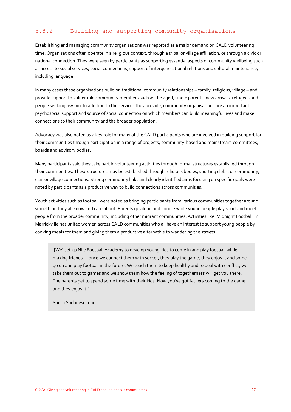## 5.8.2 Building and supporting community organisations

Establishing and managing community organisations was reported as a major demand on CALD volunteering time. Organisations often operate in a religious context, through a tribal or village affiliation, or through a civic or national connection. They were seen by participants as supporting essential aspects of community wellbeing such as access to social services, social connections, support of intergenerational relations and cultural maintenance, including language.

In many cases these organisations build on traditional community relationships – family, religious, village – and provide support to vulnerable community members such as the aged, single parents, new arrivals, refugees and people seeking asylum. In addition to the services they provide, community organisations are an important psychosocial support and source of social connection on which members can build meaningful lives and make connections to their community and the broader population.

Advocacy was also noted as a key role for many of the CALD participants who are involved in building support for their communities through participation in a range of projects, community-based and mainstream committees, boards and advisory bodies.

Many participants said they take part in volunteering activities through formal structures established through their communities. These structures may be established through religious bodies, sporting clubs, or community, clan or village connections. Strong community links and clearly identified aims focusing on specific goals were noted by participants as a productive way to build connections across communities.

Youth activities such as football were noted as bringing participants from various communities together around something they all know and care about. Parents go along and mingle while young people play sport and meet people from the broader community, including other migrant communities. Activities like 'Midnight Football' in Marrickville has united women across CALD communities who all have an interest to support young people by cooking meals for them and giving them a productive alternative to wandering the streets.

'[We] set up Nile Football Academy to develop young kids to come in and play football while making friends ... once we connect them with soccer, they play the game, they enjoy it and some go on and play football in the future. We teach them to keep healthy and to deal with conflict, we take them out to games and we show them how the feeling of togetherness will get you there. The parents get to spend some time with their kids. Now you've got fathers coming to the game and they enjoy it.'

South Sudanese man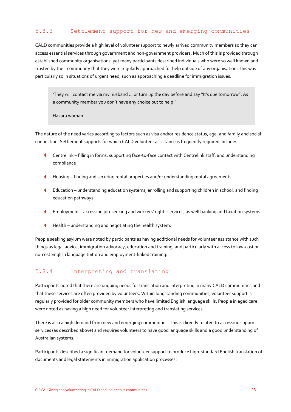#### 5.8.3 Settlement support for new and emerging communities

CALD communities provide a high level of volunteer support to newly arrived community members so they can access essential services through government and non-government providers. Much of this is provided through established community organisations, yet many participants described individuals who were so well known and trusted by their community that they were regularly approached for help outside of any organisation. This was particularly so in situations of urgent need, such as approaching a deadline for immigration issues.

'They will contact me via my husband ... or turn up the day before and say "It's due tomorrow". As a community member you don't have any choice but to help.'

Hazara woman

The nature of the need varies according to factors such as visa and/or residence status, age, and family and social connection. Settlement supports for which CALD volunteer assistance is frequently required include:

- Centrelink filling in forms, supporting face-to-face contact with Centrelink staff, and understanding compliance
- Housing finding and securing rental properties and/or understanding rental agreements
- Education understanding education systems, enrolling and supporting children in school, and finding education pathways
- Employment accessing job-seeking and workers' rights services, as well banking and taxation systems
- Health understanding and negotiating the health system.

People seeking asylum were noted by participants as having additional needs for volunteer assistance with such things as legal advice, immigration advocacy, education and training, and particularly with access to low-cost or no-cost English language tuition and employment-linked training.

## 5.8.4 Interpreting and translating

Participants noted that there are ongoing needs for translation and interpreting in many CALD communities and that these services are often provided by volunteers. Within longstanding communities, volunteer support is regularly provided for older community members who have limited English language skills. People in aged care were noted as having a high need for volunteer interpreting and translating services.

There is also a high demand from new and emerging communities. This is directly related to accessing support services (as described above) and requires volunteers to have good language skills and a good understanding of Australian systems.

Participants described a significant demand for volunteer support to produce high-standard English translation of documents and legal statements in immigration application processes.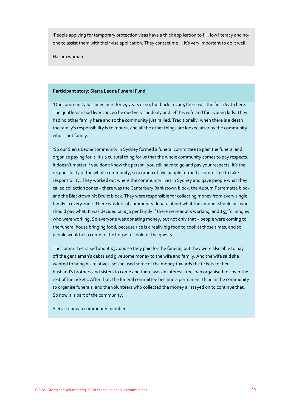'People applying for temporary protection visas have a thick application to fill, low literacy and noone to assist them with their visa application. They contact me ... it's very important to do it well.'

Hazara woman

#### **Participant story: Sierra Leone Funeral Fund**

'Our community has been here for 25 years or so, but back in 2005 there was the first death here. The gentleman had liver cancer; he died very suddenly and left his wife and four young kids. They had no other family here and so the community just rallied. Traditionally, when there is a death the family's responsibility is to mourn, and all the other things are looked after by the community who is not family.

'So our Sierra Leone community in Sydney formed a funeral committee to plan the funeral and organise paying for it. It's a cultural thing for us that the whole community comes to pay respects. It doesn't matter if you don't know the person, you still have to go and pay your respects. It's the responsibility of the whole community, so a group of five people formed a committee to take responsibility. They worked out where the community lives in Sydney and gave people what they called collection zones – there was the Canterbury Bankstown block, the Auburn Parramatta block and the Blacktown Mt Druitt block. They were responsible for collecting money from every single family in every zone. There was lots of community debate about what the amount should be, who should pay what. It was decided on \$50 per family if there were adults working, and \$55 for singles who were working. So everyone was donating money, but not only that – people were coming to the funeral house bringing food, because rice is a really big food to cook at those times, and so people would also come to the house to cook for the guests.

The committee raised about \$37,000 so they paid for the funeral, but they were also able to pay off the gentleman's debts and give some money to the wife and family. And the wife said she wanted to bring his relatives, so she used some of the money towards the tickets for her husband's brothers and sisters to come and there was an interest-free loan organised to cover the rest of the tickets. After that, the funeral committee became a permanent thing in the community to organise funerals, and the volunteers who collected the money all stayed on to continue that. So now it is part of the community.

Sierra Leonean community member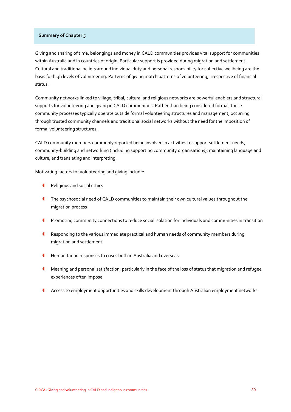#### **Summary of Chapter 5**

Giving and sharing of time, belongings and money in CALD communities provides vital support for communities within Australia and in countries of origin. Particular support is provided during migration and settlement. Cultural and traditional beliefs around individual duty and personal responsibility for collective wellbeing are the basis for high levels of volunteering. Patterns of giving match patterns of volunteering, irrespective of financial status.

Community networks linked to village, tribal, cultural and religious networks are powerful enablers and structural supports for volunteering and giving in CALD communities. Rather than being considered formal, these community processes typically operate outside formal volunteering structures and management, occurring through trusted community channels and traditional social networks without the need for the imposition of formal volunteering structures.

CALD community members commonly reported being involved in activities to support settlement needs, community-building and networking (Including supporting community organisations), maintaining language and culture, and translating and interpreting.

Motivating factors for volunteering and giving include:

- Religious and social ethics
- The psychosocial need of CALD communities to maintain their own cultural values throughout the migration process
- Promoting community connections to reduce social isolation for individuals and communities in transition
- Responding to the various immediate practical and human needs of community members during migration and settlement
- Humanitarian responses to crises both in Australia and overseas
- Meaning and personal satisfaction, particularly in the face of the loss of status that migration and refugee experiences often impose
- Access to employment opportunities and skills development through Australian employment networks.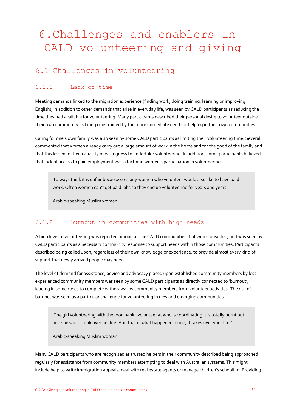# 6.Challenges and enablers in CALD volunteering and giving

# 6.1 Challenges in volunteering

## 6.1.1 Lack of time

Meeting demands linked to the migration experience (finding work, doing training, learning or improving English), in addition to other demands that arise in everyday life, was seen by CALD participants as reducing the time they had available for volunteering. Many participants described their personal desire to volunteer outside their own community as being constrained by the more immediate need for helping in their own communities.

Caring for one's own family was also seen by some CALD participants as limiting their volunteering time. Several commented that women already carry out a large amount of work in the home and for the good of the family and that this lessened their capacity or willingness to undertake volunteering. In addition, some participants believed that lack of access to paid employment was a factor in women's participation in volunteering.

'I always think it is unfair because so many women who volunteer would also like to have paid work. Often women can't get paid jobs so they end up volunteering for years and years.'

Arabic-speaking Muslim woman

#### 6.1.2 Burnout in communities with high needs

A high level of volunteering was reported among all the CALD communities that were consulted, and was seen by CALD participants as a necessary community response to support needs within those communities. Participants described being called upon, regardless of their own knowledge or experience, to provide almost every kind of support that newly arrived people may need.

The level of demand for assistance, advice and advocacy placed upon established community members by less experienced community members was seen by some CALD participants as directly connected to 'burnout', leading in some cases to complete withdrawal by community members from volunteer activities. The risk of burnout was seen as a particular challenge for volunteering in new and emerging communities.

'The girl volunteering with the food bank I volunteer at who is coordinating it is totally burnt out and she said it took over her life. And that is what happened to me, it takes over your life.'

Arabic-speaking Muslim woman

Many CALD participants who are recognised as trusted helpers in their community described being approached regularly for assistance from community members attempting to deal with Australian systems. This might include help to write immigration appeals, deal with real estate agents or manage children's schooling. Providing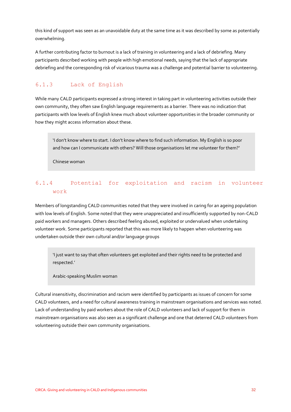this kind of support was seen as an unavoidable duty at the same time as it was described by some as potentially overwhelming.

A further contributing factor to burnout is a lack of training in volunteering and a lack of debriefing. Many participants described working with people with high emotional needs, saying that the lack of appropriate debriefing and the corresponding risk of vicarious trauma was a challenge and potential barrier to volunteering.

## 6.1.3 Lack of English

While many CALD participants expressed a strong interest in taking part in volunteering activities outside their own community, they often saw English language requirements as a barrier. There was no indication that participants with low levels of English knew much about volunteer opportunities in the broader community or how they might access information about these.

'I don't know where to start. I don't know where to find such information. My English is so poor and how can I communicate with others? Will those organisations let me volunteer for them?'

Chinese woman

## 6.1.4 Potential for exploitation and racism in volunteer work

Members of longstanding CALD communities noted that they were involved in caring for an ageing population with low levels of English. Some noted that they were unappreciated and insufficiently supported by non-CALD paid workers and managers. Others described feeling abused, exploited or undervalued when undertaking volunteer work. Some participants reported that this was more likely to happen when volunteering was undertaken outside their own cultural and/or language groups

'I just want to say that often volunteers get exploited and their rights need to be protected and respected.'

#### Arabic-speaking Muslim woman

Cultural insensitivity, discrimination and racism were identified by participants as issues of concern for some CALD volunteers, and a need for cultural awareness training in mainstream organisations and services was noted. Lack of understanding by paid workers about the role of CALD volunteers and lack of support for them in mainstream organisations was also seen as a significant challenge and one that deterred CALD volunteers from volunteering outside their own community organisations.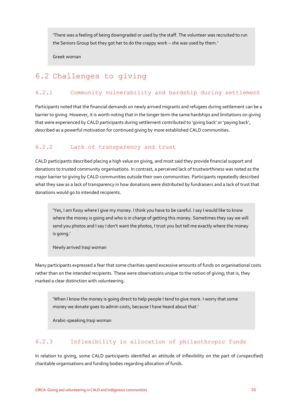'There was a feeling of being downgraded or used by the staff. The volunteer was recruited to run the Seniors Group but they got her to do the crappy work – she was used by them.'

Greek woman

# 6.2 Challenges to giving

#### 6.2.1 Community vulnerability and hardship during settlement

Participants noted that the financial demands on newly arrived migrants and refugees during settlement can be a barrier to giving. However, it is worth noting that in the longer term the same hardships and limitations on giving that were experienced by CALD participants during settlement contributed to 'giving back' or 'paying back', described as a powerful motivation for continued giving by more established CALD communities.

#### 6.2.2 Lack of transparency and trust

CALD participants described placing a high value on giving, and most said they provide financial support and donations to trusted community organisations. In contrast, a perceived lack of trustworthiness was noted as the major barrier to giving by CALD communities outside their own communities. Participants repeatedly described what they saw as a lack of transparency in how donations were distributed by fundraisers and a lack of trust that donations would go to intended recipients.

'Yes, I am fussy where I give my money. I think you have to be careful. I say I would like to know where the money is going and who is in charge of getting this money. Sometimes they say we will send you photos and I say I don't want the photos, I trust you but tell me exactly where the money is going.'

Newly arrived Iraqi woman

Many participants expressed a fear that some charities spend excessive amounts of funds on organisational costs rather than on the intended recipients. These were observations unique to the notion of giving; that is, they marked a clear distinction with volunteering.

'When I know the money is going direct to help people I tend to give more. I worry that some money we donate goes to admin costs, because I have heard about that.'

Arabic-speaking Iraqi woman

#### 6.2.3 Inflexibility in allocation of philanthropic funds

In relation to giving, some CALD participants identified an attitude of inflexibility on the part of (unspecified) charitable organisations and funding bodies regarding allocation of funds.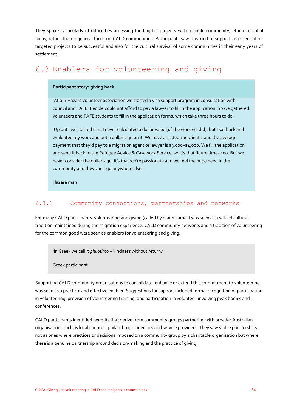They spoke particularly of difficulties accessing funding for projects with a single community, ethnic or tribal focus, rather than a general focus on CALD communities. Participants saw this kind of support as essential for targeted projects to be successful and also for the cultural survival of some communities in their early years of settlement.

# 6.3 Enablers for volunteering and giving

#### **Participant story: giving back**

'At our Hazara volunteer association we started a visa support program in consultation with council and TAFE. People could not afford to pay a lawyer to fill in the application. So we gathered volunteers and TAFE students to fill in the application forms, which take three hours to do.

'Up until we started this, I never calculated a dollar value [of the work we did], but I sat back and evaluated my work and put a dollar sign on it. We have assisted 100 clients, and the average payment that they'd pay to a migration agent or lawyer is \$3,000–\$4,000. We fill the application and send it back to the Refugee Advice & Casework Service, so it's that figure times 100. But we never consider the dollar sign, it's that we're passionate and we feel the huge need in the community and they can't go anywhere else.'

Hazara man

## 6.3.1 Community connections, partnerships and networks

For many CALD participants, volunteering and giving (called by many names) was seen as a valued cultural tradition maintained during the migration experience. CALD community networks and a tradition of volunteering for the common good were seen as enablers for volunteering and giving.

'In Greek we call it *philotimo* – kindness without return.'

Greek participant

Supporting CALD community organisations to consolidate, enhance or extend this commitment to volunteering was seen as a practical and effective enabler. Suggestions for support included formal recognition of participation in volunteering, provision of volunteering training, and participation in volunteer-involving peak bodies and conferences.

CALD participants identified benefits that derive from community groups partnering with broader Australian organisations such as local councils, philanthropic agencies and service providers. They saw viable partnerships not as ones where practices or decisions imposed on a community group by a charitable organisation but where there is a genuine partnership around decision-making and the practice of giving.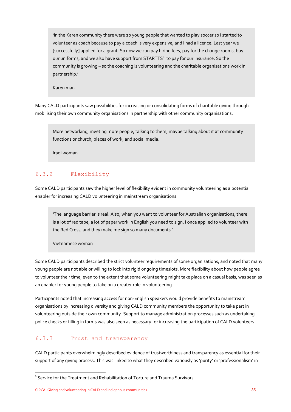'In the Karen community there were 20 young people that wanted to play soccer so I started to volunteer as coach because to pay a coach is very expensive, and I had a licence. Last year we [successfully] applied for a grant. So now we can pay hiring fees, pay for the change rooms, buy our uniforms, and we also have support from  $\text{STARTTS}^1$  to pay for our insurance. So the community is growing – so the coaching is volunteering and the charitable organisations work in partnership.'

Karen man

Many CALD participants saw possibilities for increasing or consolidating forms of charitable giving through mobilising their own community organisations in partnership with other community organisations.

More networking, meeting more people, talking to them, maybe talking about it at community functions or church, places of work, and social media.

Iraqi woman

## 6.3.2 Flexibility

Some CALD participants saw the higher level of flexibility evident in community volunteering as a potential enabler for increasing CALD volunteering in mainstream organisations.

*'*The language barrier is real. Also, when you want to volunteer for Australian organisations, there is a lot of red tape, a lot of paper work in English you need to sign. I once applied to volunteer with the Red Cross, and they make me sign so many documents.'

Vietnamese woman

Some CALD participants described the strict volunteer requirements of some organisations, and noted that many young people are not able or willing to lock into rigid ongoing timeslots. More flexibility about how people agree to volunteer their time, even to the extent that some volunteering might take place on a casual basis, was seen as an enabler for young people to take on a greater role in volunteering.

Participants noted that increasing access for non-English speakers would provide benefits to mainstream organisations by increasing diversity and giving CALD community members the opportunity to take part in volunteering outside their own community. Support to manage administration processes such as undertaking police checks or filling in forms was also seen as necessary for increasing the participation of CALD volunteers.

#### 6.3.3 Trust and transparency

CALD participants overwhelmingly described evidence of trustworthiness and transparency as essential for their support of any giving process. This was linked to what they described variously as 'purity' or 'professionalism' in

**-**

 $^{\text{1}}$  Service for the Treatment and Rehabilitation of Torture and Trauma Survivors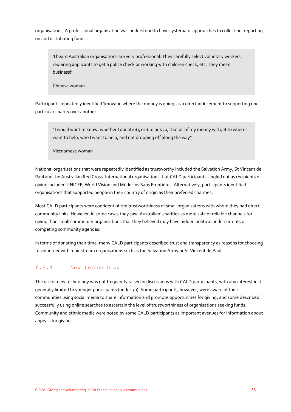organisations. A professional organisation was understood to have systematic approaches to collecting, reporting on and distributing funds.

'I heard Australian organisations are very professional. They carefully select voluntary workers, requiring applicants to get a police check or working with children check, etc. They mean business!'

Chinese woman

Participants repeatedly identified 'knowing where the money is going' as a direct inducement to supporting one particular charity over another.

"I would want to know, whether I donate \$5 or \$10 or \$20, that all of my money will get to where I want to help, who I want to help, and not dropping off along the way"

Vietnamese woman

National organisations that were repeatedly identified as trustworthy included the Salvation Army, St Vincent de Paul and the Australian Red Cross. International organisations that CALD participants singled out as recipients of giving included UNICEF, World Vision and Médecins Sans Frontières. Alternatively, participants identified organisations that supported people in their country of origin as their preferred charities.

Most CALD participants were confident of the trustworthiness of small organisations with whom they had direct community links. However, in some cases they saw 'Australian' charities as more safe or reliable channels for giving than small community organisations that they believed may have hidden political undercurrents or competing community agendas.

In terms of donating their time, many CALD participants described trust and transparency as reasons for choosing to volunteer with mainstream organisations such as the Salvation Army or St Vincent de Paul.

## 6.3.4 New technology

The use of new technology was not frequently raised in discussions with CALD participants, with any interest in it generally limited to younger participants (under 30). Some participants, however, were aware of their communities using social media to share information and promote opportunities for giving, and some described successfully using online searches to ascertain the level of trustworthiness of organisations seeking funds. Community and ethnic media were noted by some CALD participants as important avenues for information about appeals for giving.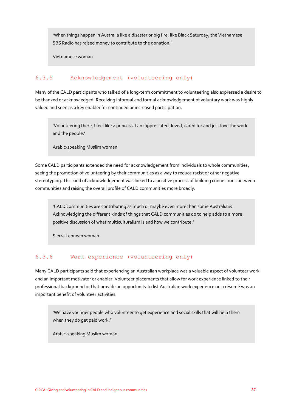'When things happen in Australia like a disaster or big fire, like Black Saturday, the Vietnamese SBS Radio has raised money to contribute to the donation.'

Vietnamese woman

## 6.3.5 Acknowledgement (volunteering only)

Many of the CALD participants who talked of a long-term commitment to volunteering also expressed a desire to be thanked or acknowledged. Receiving informal and formal acknowledgement of voluntary work was highly valued and seen as a key enabler for continued or increased participation.

'Volunteering there, I feel like a princess. I am appreciated, loved, cared for and just love the work and the people.'

Arabic-speaking Muslim woman

Some CALD participants extended the need for acknowledgement from individuals to whole communities, seeing the promotion of volunteering by their communities as a way to reduce racist or other negative stereotyping. This kind of acknowledgement was linked to a positive process of building connections between communities and raising the overall profile of CALD communities more broadly.

'CALD communities are contributing as much or maybe even more than some Australians. Acknowledging the different kinds of things that CALD communities do to help adds to a more positive discussion of what multiculturalism is and how we contribute.'

Sierra Leonean woman

#### 6.3.6 Work experience (volunteering only)

Many CALD participants said that experiencing an Australian workplace was a valuable aspect of volunteer work and an important motivator or enabler. Volunteer placements that allow for work experience linked to their professional background or that provide an opportunity to list Australian work experience on a résumé was an important benefit of volunteer activities.

'We have younger people who volunteer to get experience and social skills that will help them when they do get paid work.'

Arabic-speaking Muslim woman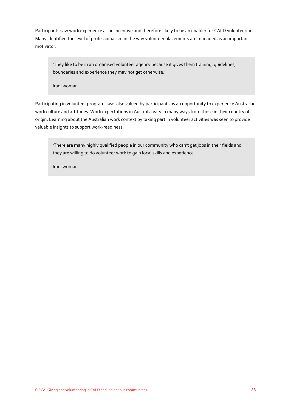Participants saw work experience as an incentive and therefore likely to be an enabler for CALD volunteering. Many identified the level of professionalism in the way volunteer placements are managed as an important motivator.

'They like to be in an organised volunteer agency because it gives them training, guidelines, boundaries and experience they may not get otherwise.'

Iraqi woman

Participating in volunteer programs was also valued by participants as an opportunity to experience Australian work culture and attitudes. Work expectations in Australia vary in many ways from those in their country of origin. Learning about the Australian work context by taking part in volunteer activities was seen to provide valuable insights to support work-readiness.

'There are many highly qualified people in our community who can't get jobs in their fields and they are willing to do volunteer work to gain local skills and experience.

Iraqi woman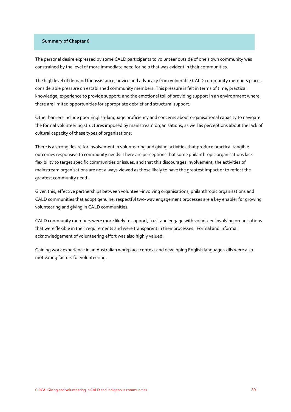#### **Summary of Chapter 6**

The personal desire expressed by some CALD participants to volunteer outside of one's own community was constrained by the level of more immediate need for help that was evident in their communities.

The high level of demand for assistance, advice and advocacy from vulnerable CALD community members places considerable pressure on established community members. This pressure is felt in terms of time, practical knowledge, experience to provide support, and the emotional toll of providing support in an environment where there are limited opportunities for appropriate debrief and structural support.

Other barriers include poor English-language proficiency and concerns about organisational capacity to navigate the formal volunteering structures imposed by mainstream organisations, as well as perceptions about the lack of cultural capacity of these types of organisations.

There is a strong desire for involvement in volunteering and giving activities that produce practical tangible outcomes responsive to community needs. There are perceptions that some philanthropic organisations lack flexibility to target specific communities or issues, and that this discourages involvement; the activities of mainstream organisations are not always viewed as those likely to have the greatest impact or to reflect the greatest community need.

Given this, effective partnerships between volunteer-involving organisations, philanthropic organisations and CALD communities that adopt genuine, respectful two-way engagement processes are a key enabler for growing volunteering and giving in CALD communities.

CALD community members were more likely to support, trust and engage with volunteer-involving organisations that were flexible in their requirements and were transparent in their processes. Formal and informal acknowledgement of volunteering effort was also highly valued.

Gaining work experience in an Australian workplace context and developing English language skills were also motivating factors for volunteering.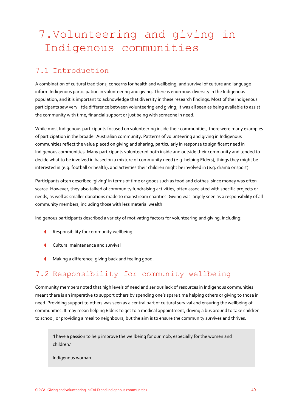# 7.Volunteering and giving in Indigenous communities

# 7.1 Introduction

A combination of cultural traditions, concerns for health and wellbeing, and survival of culture and language inform Indigenous participation in volunteering and giving. There is enormous diversity in the Indigenous population, and it is important to acknowledge that diversity in these research findings. Most of the Indigenous participants saw very little difference between volunteering and giving; it was all seen as being available to assist the community with time, financial support or just being with someone in need.

While most Indigenous participants focused on volunteering inside their communities, there were many examples of participation in the broader Australian community. Patterns of volunteering and giving in Indigenous communities reflect the value placed on giving and sharing, particularly in response to significant need in Indigenous communities. Many participants volunteered both inside and outside their community and tended to decide what to be involved in based on a mixture of community need (e.g. helping Elders), things they might be interested in (e.g. football or health), and activities their children might be involved in (e.g. drama or sport).

Participants often described 'giving' in terms of time or goods such as food and clothes, since money was often scarce. However, they also talked of community fundraising activities, often associated with specific projects or needs, as well as smaller donations made to mainstream charities. Giving was largely seen as a responsibility of all community members, including those with less material wealth.

Indigenous participants described a variety of motivating factors for volunteering and giving, including:

- Responsibility for community wellbeing
- **Cultural maintenance and survival**
- Making a difference, giving back and feeling good.

# 7.2 Responsibility for community wellbeing

Community members noted that high levels of need and serious lack of resources in Indigenous communities meant there is an imperative to support others by spending one's spare time helping others or giving to those in need. Providing support to others was seen as a central part of cultural survival and ensuring the wellbeing of communities. It may mean helping Elders to get to a medical appointment, driving a bus around to take children to school, or providing a meal to neighbours, but the aim is to ensure the community survives and thrives.

'I have a passion to help improve the wellbeing for our mob, especially for the women and children.'

Indigenous woman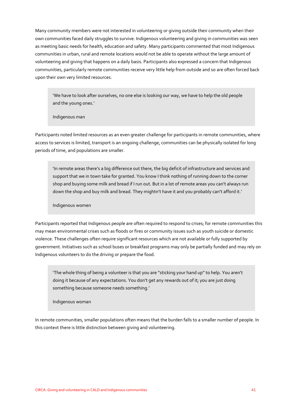Many community members were not interested in volunteering or giving outside their community when their own communities faced daily struggles to survive. Indigenous volunteering and giving in communities was seen as meeting basic needs for health, education and safety. Many participants commented that most Indigenous communities in urban, rural and remote locations would not be able to operate without the large amount of volunteering and giving that happens on a daily basis. Participants also expressed a concern that Indigenous communities, particularly remote communities receive very little help from outside and so are often forced back upon their own very limited resources.

'We have to look after ourselves, no one else is looking our way, we have to help the old people and the young ones.'

Indigenous man

Participants noted limited resources as an even greater challenge for participants in remote communities, where access to services is limited, transport is an ongoing challenge, communities can be physically isolated for long periods of time, and populations are smaller.

'In remote areas there's a big difference out there, the big deficit of infrastructure and services and support that we in town take for granted. You know I think nothing of running down to the corner shop and buying some milk and bread if I run out. But in a lot of remote areas you can't always run down the shop and buy milk and bread. They mightn't have it and you probably can't afford it.'

Indigenous women

Participants reported that Indigenous people are often required to respond to crises; for remote communities this may mean environmental crises such as floods or fires or community issues such as youth suicide or domestic violence. These challenges often require significant resources which are not available or fully supported by government. Initiatives such as school buses or breakfast programs may only be partially funded and may rely on Indigenous volunteers to do the driving or prepare the food.

'The whole thing of being a volunteer is that you are "sticking your hand up" to help. You aren't doing it because of any expectations. You don't get any rewards out of it; you are just doing something because someone needs something.'

Indigenous woman

In remote communities, smaller populations often means that the burden falls to a smaller number of people. In this context there is little distinction between giving and volunteering.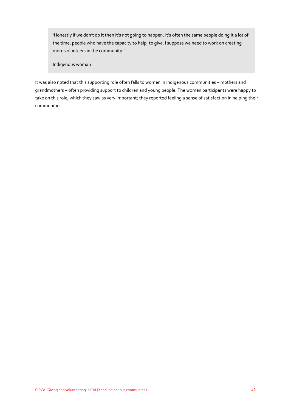'Honestly if we don't do it then it's not going to happen. It's often the same people doing it a lot of the time, people who have the capacity to help, to give, I suppose we need to work on creating more volunteers in the community.'

Indigenous woman

It was also noted that this supporting role often falls to women in Indigenous communities – mothers and grandmothers – often providing support to children and young people. The women participants were happy to take on this role, which they saw as very important; they reported feeling a sense of satisfaction in helping their communities.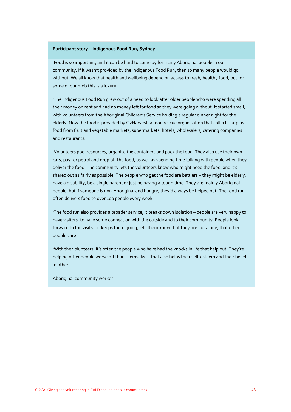#### **Participant story – Indigenous Food Run, Sydney**

'Food is so important, and it can be hard to come by for many Aboriginal people in our community. If it wasn't provided by the Indigenous Food Run, then so many people would go without. We all know that health and wellbeing depend on access to fresh, healthy food, but for some of our mob this is a luxury.

'The Indigenous Food Run grew out of a need to look after older people who were spending all their money on rent and had no money left for food so they were going without. It started small, with volunteers from the Aboriginal Children's Service holding a regular dinner night for the elderly. Now the food is provided by OzHarvest, a food rescue organisation that collects surplus food from fruit and vegetable markets, supermarkets, hotels, wholesalers, catering companies and restaurants.

'Volunteers pool resources, organise the containers and pack the food. They also use their own cars, pay for petrol and drop off the food, as well as spending time talking with people when they deliver the food. The community lets the volunteers know who might need the food, and it's shared out as fairly as possible. The people who get the food are battlers – they might be elderly, have a disability, be a single parent or just be having a tough time. They are mainly Aboriginal people, but if someone is non-Aboriginal and hungry, they'd always be helped out. The food run often delivers food to over 100 people every week.

'The food run also provides a broader service, it breaks down isolation – people are very happy to have visitors, to have some connection with the outside and to their community. People look forward to the visits – it keeps them going, lets them know that they are not alone, that other people care.

'With the volunteers, it's often the people who have had the knocks in life that help out. They're helping other people worse off than themselves; that also helps their self-esteem and their belief in others.

Aboriginal community worker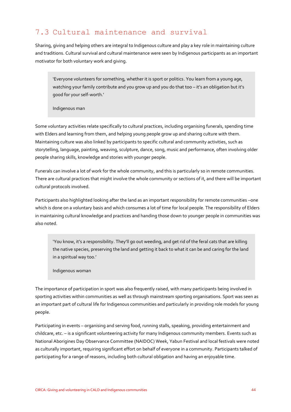# 7.3 Cultural maintenance and survival

Sharing, giving and helping others are integral to Indigenous culture and play a key role in maintaining culture and traditions. Cultural survival and cultural maintenance were seen by Indigenous participants as an important motivator for both voluntary work and giving.

'Everyone volunteers for something, whether it is sport or politics. You learn from a young age, watching your family contribute and you grow up and you do that too - it's an obligation but it's good for your self-worth.'

Indigenous man

Some voluntary activities relate specifically to cultural practices, including organising funerals, spending time with Elders and learning from them, and helping young people grow up and sharing culture with them. Maintaining culture was also linked by participants to specific cultural and community activities, such as storytelling, language, painting, weaving, sculpture, dance, song, music and performance, often involving older people sharing skills, knowledge and stories with younger people.

Funerals can involve a lot of work for the whole community, and this is particularly so in remote communities. There are cultural practices that might involve the whole community or sections of it, and there will be important cultural protocols involved.

Participants also highlighted looking after the land as an important responsibility for remote communities –one which is done on a voluntary basis and which consumes a lot of time for local people. The responsibility of Elders in maintaining cultural knowledge and practices and handing those down to younger people in communities was also noted.

'You know, it's a responsibility. They'll go out weeding, and get rid of the feral cats that are killing the native species, preserving the land and getting it back to what it can be and caring for the land in a spiritual way too.'

Indigenous woman

The importance of participation in sport was also frequently raised, with many participants being involved in sporting activities within communities as well as through mainstream sporting organisations. Sport was seen as an important part of cultural life for Indigenous communities and particularly in providing role models for young people.

Participating in events – organising and serving food, running stalls, speaking, providing entertainment and childcare, etc. – is a significant volunteering activity for many Indigenous community members. Events such as National Aborigines Day Observance Committee (NAIDOC) Week, Yabun Festival and local festivals were noted as culturally important, requiring significant effort on behalf of everyone in a community. Participants talked of participating for a range of reasons, including both cultural obligation and having an enjoyable time.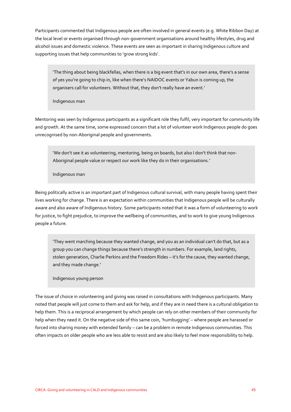Participants commented that Indigenous people are often involved in general events (e.g. White Ribbon Day) at the local level or events organised through non-government organisations around healthy lifestyles, drug and alcohol issues and domestic violence. These events are seen as important in sharing Indigenous culture and supporting issues that help communities to 'grow strong kids'.

'The thing about being blackfellas, when there is a big event that's in our own area, there's a sense of yes you're going to chip in, like when there's NAIDOC events or Yabun is coming up, the organisers call for volunteers. Without that, they don't really have an event.'

Indigenous man

Mentoring was seen by Indigenous participants as a significant role they fulfil, very important for community life and growth. At the same time, some expressed concern that a lot of volunteer work Indigenous people do goes unrecognised by non-Aboriginal people and governments.

'We don't see it as volunteering, mentoring, being on boards, but also I don't think that non-Aboriginal people value or respect our work like they do in their organisations.'

Indigenous man

Being politically active is an important part of Indigenous cultural survival, with many people having spent their lives working for change. There is an expectation within communities that Indigenous people will be culturally aware and also aware of Indigenous history. Some participants noted that it was a form of volunteering to work for justice, to fight prejudice, to improve the wellbeing of communities, and to work to give young Indigenous people a future.

'They went marching because they wanted change, and you as an individual can't do that, but as a group you can change things because there's strength in numbers. For example, land rights, stolen generation, Charlie Perkins and the Freedom Rides – it's for the cause, they wanted change, and they made change.'

Indigenous young person

The issue of choice in volunteering and giving was raised in consultations with Indigenous participants. Many noted that people will just come to them and ask for help, and if they are in need there is a cultural obligation to help them. This is a reciprocal arrangement by which people can rely on other members of their community for help when they need it. On the negative side of this same coin, 'humbugging' – where people are harassed or forced into sharing money with extended family – can be a problem in remote Indigenous communities. This often impacts on older people who are less able to resist and are also likely to feel more responsibility to help.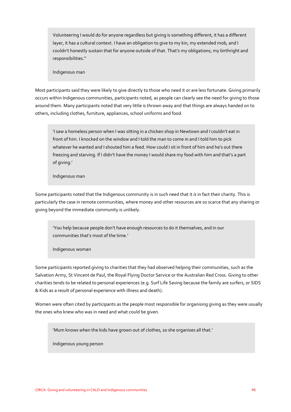Volunteering I would do for anyone regardless but giving is something different, it has a different layer, it has a cultural context. I have an obligation to give to my kin, my extended mob, and I couldn't honestly sustain that for anyone outside of that. That's my obligations, my birthright and responsibilities."

Indigenous man

Most participants said they were likely to give directly to those who need it or are less fortunate. Giving primarily occurs within Indigenous communities, participants noted, as people can clearly see the need for giving to those around them. Many participants noted that very little is thrown away and that things are always handed on to others, including clothes, furniture, appliances, school uniforms and food.

'I saw a homeless person when I was sitting in a chicken shop in Newtown and I couldn't eat in front of him. I knocked on the window and I told the man to come in and I told him to pick whatever he wanted and I shouted him a feed. How could I sit in front of him and he's out there freezing and starving. If I didn't have the money I would share my food with him and that's a part of giving.'

Indigenous man

Some participants noted that the Indigenous community is in such need that it *is* in fact their charity. This is particularly the case in remote communities, where money and other resources are so scarce that any sharing or giving beyond the immediate community is unlikely.

'You help because people don't have enough resources to do it themselves, and in our communities that's most of the time.'

Indigenous woman

Some participants reported giving to charities that they had observed helping their communities, such as the Salvation Army, St Vincent de Paul, the Royal Flying Doctor Service or the Australian Red Cross. Giving to other charities tends to be related to personal experiences (e.g. Surf Life Saving because the family are surfers, or SIDS & Kids as a result of personal experience with illness and death).

Women were often cited by participants as the people most responsible for organising giving as they were usually the ones who knew who was in need and what could be given.

'Mum knows when the kids have grown out of clothes, so she organises all that.'

Indigenous young person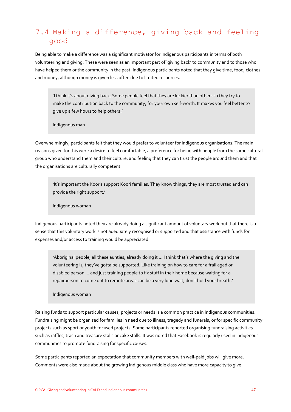# 7.4 Making a difference, giving back and feeling good

Being able to make a difference was a significant motivator for Indigenous participants in terms of both volunteering and giving. These were seen as an important part of 'giving back' to community and to those who have helped them or the community in the past. Indigenous participants noted that they give time, food, clothes and money, although money is given less often due to limited resources.

'I think it's about giving back. Some people feel that they are luckier than others so they try to make the contribution back to the community, for your own self-worth. It makes you feel better to give up a few hours to help others.'

Indigenous man

Overwhelmingly, participants felt that they would prefer to volunteer for Indigenous organisations. The main reasons given for this were a desire to feel comfortable, a preference for being with people from the same cultural group who understand them and their culture, and feeling that they can trust the people around them and that the organisations are culturally competent.

'It's important the Kooris support Koori families. They know things, they are most trusted and can provide the right support.'

Indigenous woman

Indigenous participants noted they are already doing a significant amount of voluntary work but that there is a sense that this voluntary work is not adequately recognised or supported and that assistance with funds for expenses and/or access to training would be appreciated.

'Aboriginal people, all these aunties, already doing it ... I think that's where the giving and the volunteering is, they've gotta be supported. Like training on how to care for a frail aged or disabled person ... and just training people to fix stuff in their home because waiting for a repairperson to come out to remote areas can be a very long wait, don't hold your breath.'

Indigenous woman

Raising funds to support particular causes, projects or needs is a common practice in Indigenous communities. Fundraising might be organised for families in need due to illness, tragedy and funerals, or for specific community projects such as sport or youth focused projects. Some participants reported organising fundraising activities such as raffles, trash and treasure stalls or cake stalls. It was noted that Facebook is regularly used in Indigenous communities to promote fundraising for specific causes.

Some participants reported an expectation that community members with well-paid jobs will give more. Comments were also made about the growing Indigenous middle class who have more capacity to give.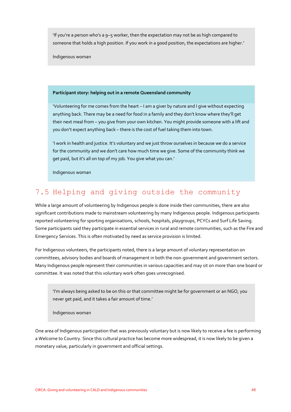'If you're a person who's a 9–5 worker, then the expectation may not be as high compared to someone that holds a high position. If you work in a good position, the expectations are higher.'

Indigenous woman

#### **Participant story: helping out in a remote Queensland community**

'Volunteering for me comes from the heart – I am a giver by nature and I give without expecting anything back. There may be a need for food in a family and they don't know where they'll get their next meal from – you give from your own kitchen. You might provide someone with a lift and you don't expect anything back – there is the cost of fuel taking them into town.

'I work in health and justice. It's voluntary and we just throw ourselves in because we do a service for the community and we don't care how much time we give. Some of the community think we get paid, but it's all on top of my job. You give what you can.'

Indigenous woman

# 7.5 Helping and giving outside the community

While a large amount of volunteering by Indigenous people is done inside their communities, there are also significant contributions made to mainstream volunteering by many Indigenous people. Indigenous participants reported volunteering for sporting organisations, schools, hospitals, playgroups, PCYCs and Surf Life Saving. Some participants said they participate in essential services in rural and remote communities, such as the Fire and Emergency Services. This is often motivated by need as service provision is limited.

For Indigenous volunteers, the participants noted, there is a large amount of voluntary representation on committees, advisory bodies and boards of management in both the non-government and government sectors. Many Indigenous people represent their communities in various capacities and may sit on more than one board or committee. It was noted that this voluntary work often goes unrecognised.

'I'm always being asked to be on this or that committee might be for government or an NGO, you never get paid, and it takes a fair amount of time.'

Indigenous woman

One area of Indigenous participation that was previously voluntary but is now likely to receive a fee is performing a Welcome to Country. Since this cultural practice has become more widespread, it is now likely to be given a monetary value, particularly in government and official settings.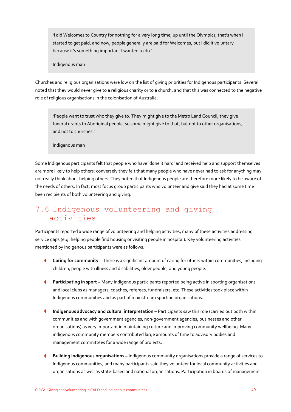'I did Welcomes to Country for nothing for a very long time, up until the Olympics, that's when I started to get paid, and now, people generally are paid for Welcomes, but I did it voluntary because it's something important I wanted to do.'

Indigenous man

Churches and religious organisations were low on the list of giving priorities for Indigenous participants. Several noted that they would never give to a religious charity or to a church, and that this was connected to the negative role of religious organisations in the colonisation of Australia.

'People want to trust who they give to. They might give to the Metro Land Council, they give funeral grants to Aboriginal people, so some might give to that, but not to other organisations, and not to churches.'

Indigenous man

Some Indigenous participants felt that people who have 'done it hard' and received help and support themselves are more likely to help others; conversely they felt that many people who have never had to ask for anything may not really think about helping others. They noted that Indigenous people are therefore more likely to be aware of the needs of others. In fact, most focus group participants who volunteer and give said they had at some time been recipients of both volunteering and giving.

# 7.6 Indigenous volunteering and giving activities

Participants reported a wide range of volunteering and helping activities, many of these activities addressing service gaps (e.g. helping people find housing or visiting people in hospital). Key volunteering activities mentioned by Indigenous participants were as follows:

- **Caring for community** There is a significant amount of caring for others within communities, including children, people with illness and disabilities, older people, and young people.
- **Participating in sport Many Indigenous participants reported being active in sporting organisations** and local clubs as managers, coaches, referees, fundraisers, etc. These activities took place within Indigenous communities and as part of mainstream sporting organisations.
- **Indigenous advocacy and cultural interpretation –** Participants saw this role (carried out both within communities and with government agencies, non-government agencies, businesses and other organisations) as very important in maintaining culture and improving community wellbeing. Many indigenous community members contributed large amounts of time to advisory bodies and management committees for a wide range of projects.
- **Building Indigenous organisations –** Indigenous community organisations provide a range of services to Indigenous communities, and many participants said they volunteer for local community activities and organisations as well as state-based and national organisations. Participation in boards of management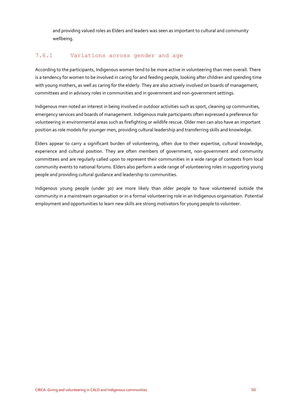and providing valued roles as Elders and leaders was seen as important to cultural and community wellbeing.

## 7.6.1 Variations across gender and age

According to the participants, Indigenous women tend to be more active in volunteering than men overall. There is a tendency for women to be involved in caring for and feeding people, looking after children and spending time with young mothers, as well as caring for the elderly. They are also actively involved on boards of management, committees and in advisory roles in communities and in government and non-government settings.

Indigenous men noted an interest in being involved in outdoor activities such as sport, cleaning up communities, emergency services and boards of management. Indigenous male participants often expressed a preference for volunteering in environmental areas such as firefighting or wildlife rescue. Older men can also have an important position as role models for younger men, providing cultural leadership and transferring skills and knowledge.

Elders appear to carry a significant burden of volunteering, often due to their expertise, cultural knowledge, experience and cultural position. They are often members of government, non-government and community committees and are regularly called upon to represent their communities in a wide range of contexts from local community events to national forums. Elders also perform a wide range of volunteering roles in supporting young people and providing cultural guidance and leadership to communities.

Indigenous young people (under 30) are more likely than older people to have volunteered outside the community in a mainstream organisation or in a formal volunteering role in an Indigenous organisation. Potential employment and opportunities to learn new skills are strong motivators for young people to volunteer.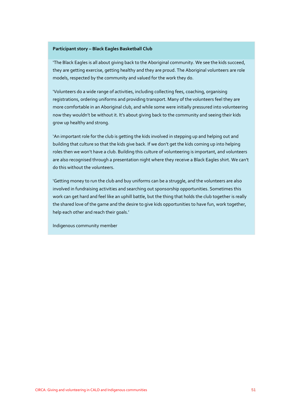#### **Participant story – Black Eagles Basketball Club**

'The Black Eagles is all about giving back to the Aboriginal community. We see the kids succeed, they are getting exercise, getting healthy and they are proud. The Aboriginal volunteers are role models, respected by the community and valued for the work they do.

'Volunteers do a wide range of activities, including collecting fees, coaching, organising registrations, ordering uniforms and providing transport. Many of the volunteers feel they are more comfortable in an Aboriginal club, and while some were initially pressured into volunteering now they wouldn't be without it. It's about giving back to the community and seeing their kids grow up healthy and strong.

'An important role for the club is getting the kids involved in stepping up and helping out and building that culture so that the kids give back. If we don't get the kids coming up into helping roles then we won't have a club. Building this culture of volunteering is important, and volunteers are also recognised through a presentation night where they receive a Black Eagles shirt. We can't do this without the volunteers.

'Getting money to run the club and buy uniforms can be a struggle, and the volunteers are also involved in fundraising activities and searching out sponsorship opportunities. Sometimes this work can get hard and feel like an uphill battle, but the thing that holds the club together is really the shared love of the game and the desire to give kids opportunities to have fun, work together, help each other and reach their goals.'

Indigenous community member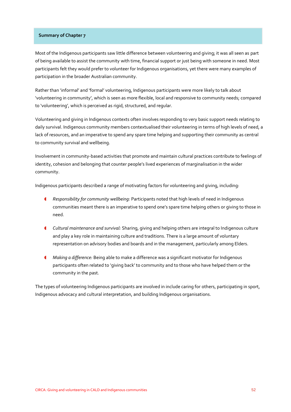#### **Summary of Chapter 7**

Most of the Indigenous participants saw little difference between volunteering and giving; it was all seen as part of being available to assist the community with time, financial support or just being with someone in need. Most participants felt they would prefer to volunteer for Indigenous organisations, yet there were many examples of participation in the broader Australian community.

Rather than 'informal' and 'formal' volunteering, Indigenous participants were more likely to talk about 'volunteering in community', which is seen as more flexible, local and responsive to community needs; compared to 'volunteering', which is perceived as rigid, structured, and regular.

Volunteering and giving in Indigenous contexts often involves responding to very basic support needs relating to daily survival. Indigenous community members contextualised their volunteering in terms of high levels of need, a lack of resources, and an imperative to spend any spare time helping and supporting their community as central to community survival and wellbeing.

Involvement in community-based activities that promote and maintain cultural practices contribute to feelings of identity, cohesion and belonging that counter people's lived experiences of marginalisation in the wider community.

Indigenous participants described a range of motivating factors for volunteering and giving, including:

- *Responsibility for community wellbeing:* Participants noted that high levels of need in Indigenous communities meant there is an imperative to spend one's spare time helping others or giving to those in need.
- *Cultural maintenance and survival:* Sharing, giving and helping others are integral to Indigenous culture and play a key role in maintaining culture and traditions. There is a large amount of voluntary representation on advisory bodies and boards and in the management, particularly among Elders.
- *Making a difference:* Being able to make a difference was a significant motivator for Indigenous participants often related to 'giving back' to community and to those who have helped them or the community in the past.

The types of volunteering Indigenous participants are involved in include caring for others, participating in sport, Indigenous advocacy and cultural interpretation, and building Indigenous organisations.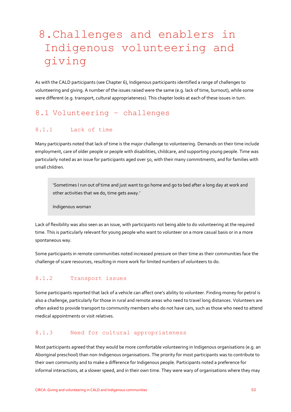# 8.Challenges and enablers in Indigenous volunteering and giving

As with the CALD participants (see Chapter 6), Indigenous participants identified a range of challenges to volunteering and giving. A number of the issues raised were the same (e.g. lack of time, burnout), while some were different (e.g. transport, cultural appropriateness). This chapter looks at each of these issues in turn.

# 8.1 Volunteering – challenges

## 8.1.1 Lack of time

Many participants noted that lack of time is the major challenge to volunteering. Demands on their time include employment, care of older people or people with disabilities, childcare, and supporting young people. Time was particularly noted as an issue for participants aged over 50, with their many commitments, and for families with small children.

'Sometimes I run out of time and just want to go home and go to bed after a long day at work and other activities that we do, time gets away.'

Indigenous woman

Lack of flexibility was also seen as an issue, with participants not being able to do volunteering at the required time. This is particularly relevant for young people who want to volunteer on a more casual basis or in a more spontaneous way.

Some participants in remote communities noted increased pressure on their time as their communities face the challenge of scare resources, resulting in more work for limited numbers of volunteers to do.

## 8.1.2 Transport issues

Some participants reported that lack of a vehicle can affect one's ability to volunteer. Finding money for petrol is also a challenge, particularly for those in rural and remote areas who need to travel long distances. Volunteers are often asked to provide transport to community members who do not have cars, such as those who need to attend medical appointments or visit relatives.

#### 8.1.3 Need for cultural appropriateness

Most participants agreed that they would be more comfortable volunteering in Indigenous organisations (e.g. an Aboriginal preschool) than non-Indigenous organisations. The priority for most participants was to contribute to their own community and to make a difference for Indigenous people. Participants noted a preference for informal interactions, at a slower speed, and in their own time. They were wary of organisations where they may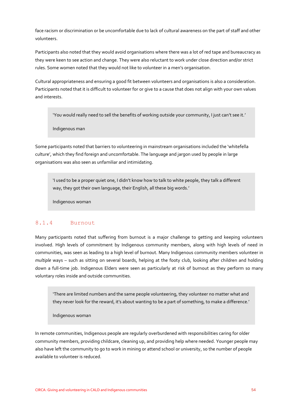face racism or discrimination or be uncomfortable due to lack of cultural awareness on the part of staff and other volunteers.

Participants also noted that they would avoid organisations where there was a lot of red tape and bureaucracy as they were keen to see action and change. They were also reluctant to work under close direction and/or strict rules. Some women noted that they would not like to volunteer in a men's organisation.

Cultural appropriateness and ensuring a good fit between volunteers and organisations is also a consideration. Participants noted that it is difficult to volunteer for or give to a cause that does not align with your own values and interests.

'You would really need to sell the benefits of working outside your community, I just can't see it.'

Indigenous man

Some participants noted that barriers to volunteering in mainstream organisations included the 'whitefella culture', which they find foreign and uncomfortable. The language and jargon used by people in large organisations was also seen as unfamiliar and intimidating.

'I used to be a proper quiet one, I didn't know how to talk to white people, they talk a different way, they got their own language, their English, all these big words.'

Indigenous woman

#### 8.1.4 Burnout

Many participants noted that suffering from burnout is a major challenge to getting and keeping volunteers involved. High levels of commitment by Indigenous community members, along with high levels of need in communities, was seen as leading to a high level of burnout. Many Indigenous community members volunteer in *multiple* ways – such as sitting on several boards, helping at the footy club, looking after children and holding down a full-time job. Indigenous Elders were seen as particularly at risk of burnout as they perform so many voluntary roles inside and outside communities.

'There are limited numbers and the same people volunteering, they volunteer no matter what and they never look for the reward, it's about wanting to be a part of something, to make a difference.'

Indigenous woman

In remote communities, Indigenous people are regularly overburdened with responsibilities caring for older community members, providing childcare, cleaning up, and providing help where needed. Younger people may also have left the community to go to work in mining or attend school or university, so the number of people available to volunteer is reduced.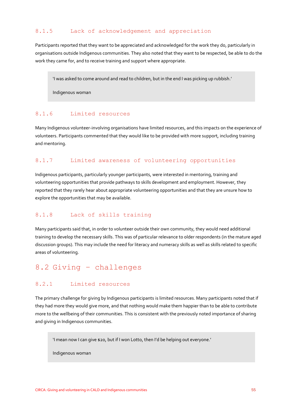#### 8.1.5 Lack of acknowledgement and appreciation

Participants reported that they want to be appreciated and acknowledged for the work they do, particularly in organisations outside Indigenous communities. They also noted that they want to be respected, be able to do the work they came for, and to receive training and support where appropriate.

'I was asked to come around and read to children, but in the end I was picking up rubbish.'

Indigenous woman

#### 8.1.6 Limited resources

Many Indigenous volunteer-involving organisations have limited resources, and this impacts on the experience of volunteers. Participants commented that they would like to be provided with more support, including training and mentoring.

## 8.1.7 Limited awareness of volunteering opportunities

Indigenous participants, particularly younger participants, were interested in mentoring, training and volunteering opportunities that provide pathways to skills development and employment. However, they reported that they rarely hear about appropriate volunteering opportunities and that they are unsure how to explore the opportunities that may be available.

#### 8.1.8 Lack of skills training

Many participants said that, in order to volunteer outside their own community, they would need additional training to develop the necessary skills. This was of particular relevance to older respondents (in the mature aged discussion groups). This may include the need for literacy and numeracy skills as well as skills related to specific areas of volunteering.

# 8.2 Giving – challenges

#### 8.2.1 Limited resources

The primary challenge for giving by Indigenous participants is limited resources. Many participants noted that if they had more they would give more, and that nothing would make them happier than to be able to contribute more to the wellbeing of their communities. This is consistent with the previously noted importance of sharing and giving in Indigenous communities.

'I mean now I can give \$20, but if I won Lotto, then I'd be helping out everyone.'

Indigenous woman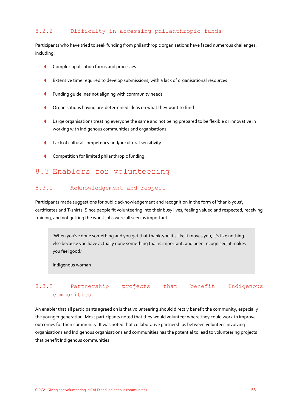## 8.2.2 Difficulty in accessing philanthropic funds

Participants who have tried to seek funding from philanthropic organisations have faced numerous challenges, including:

- **Complex application forms and processes**
- Extensive time required to develop submissions, with a lack of organisational resources
- **f** Funding quidelines not aligning with community needs
- **C** Organisations having pre-determined ideas on what they want to fund
- Large organisations treating everyone the same and not being prepared to be flexible or innovative in working with Indigenous communities and organisations
- Lack of cultural competency and/or cultural sensitivity
- **Competition for limited philanthropic funding.**

# 8.3 Enablers for volunteering

#### 8.3.1 Acknowledgement and respect

Participants made suggestions for public acknowledgement and recognition in the form of 'thank-yous', certificates and T-shirts. Since people fit volunteering into their busy lives, feeling valued and respected, receiving training, and not getting the worst jobs were all seen as important.

'When you've done something and you get that thank-you it's like it moves you, it's like nothing else because you have actually done something that is important, and been recognised, it makes you feel good.'

Indigenous woman

# 8.3.2 Partnership projects that benefit Indigenous communities

An enabler that all participants agreed on is that volunteering should directly benefit the community, especially the younger generation. Most participants noted that they would volunteer where they could work to improve outcomes for their community. It was noted that collaborative partnerships between volunteer-involving organisations and Indigenous organisations and communities has the potential to lead to volunteering projects that benefit Indigenous communities.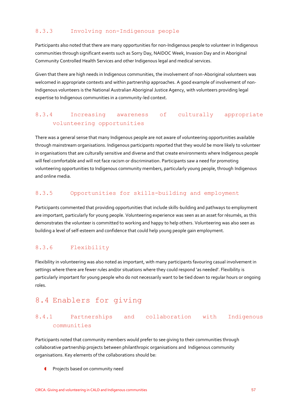## 8.3.3 Involving non-Indigenous people

Participants also noted that there are many opportunities for non-Indigenous people to volunteer in Indigenous communities through significant events such as Sorry Day, NAIDOC Week, Invasion Day and in Aboriginal Community Controlled Health Services and other Indigenous legal and medical services.

Given that there are high needs in Indigenous communities, the involvement of non-Aboriginal volunteers was welcomed in appropriate contexts and within partnership approaches. A good example of involvement of non-Indigenous volunteers is the National Australian Aboriginal Justice Agency, with volunteers providing legal expertise to Indigenous communities in a community-led context.

## 8.3.4 Increasing awareness of culturally appropriate volunteering opportunities

There was a general sense that many Indigenous people are not aware of volunteering opportunities available through mainstream organisations. Indigenous participants reported that they would be more likely to volunteer in organisations that are culturally sensitive and diverse and that create environments where Indigenous people will feel comfortable and will not face racism or discrimination. Participants saw a need for promoting volunteering opportunities to Indigenous community members, particularly young people, through Indigenous and online media.

#### 8.3.5 Opportunities for skills-building and employment

Participants commented that providing opportunities that include skills-building and pathways to employment are important, particularly for young people. Volunteering experience was seen as an asset for résumés, as this demonstrates the volunteer is committed to working and happy to help others. Volunteering was also seen as building a level of self-esteem and confidence that could help young people gain employment.

## 8.3.6 Flexibility

Flexibility in volunteering was also noted as important, with many participants favouring casual involvement in settings where there are fewer rules and/or situations where they could respond 'as needed'. Flexibility is particularly important for young people who do not necessarily want to be tied down to regular hours or ongoing roles.

# 8.4 Enablers for giving

## 8.4.1 Partnerships and collaboration with Indigenous communities

Participants noted that community members would prefer to see giving to their communities through collaborative partnership projects between philanthropic organisations and Indigenous community organisations. Key elements of the collaborations should be:

Projects based on community need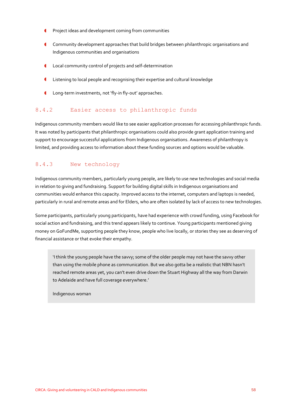- **C** Project ideas and development coming from communities
- Community development approaches that build bridges between philanthropic organisations and Indigenous communities and organisations
- Local community control of projects and self-determination
- Listening to local people and recognising their expertise and cultural knowledge
- **C** Long-term investments, not 'fly-in fly-out' approaches.

#### 8.4.2 Easier access to philanthropic funds

Indigenous community members would like to see easier application processes for accessing philanthropic funds. It was noted by participants that philanthropic organisations could also provide grant application training and support to encourage successful applications from Indigenous organisations. Awareness of philanthropy is limited, and providing access to information about these funding sources and options would be valuable.

## 8.4.3 New technology

Indigenous community members, particularly young people, are likely to use new technologies and social media in relation to giving and fundraising. Support for building digital skills in Indigenous organisations and communities would enhance this capacity. Improved access to the internet, computers and laptops is needed, particularly in rural and remote areas and for Elders, who are often isolated by lack of access to new technologies.

Some participants, particularly young participants, have had experience with crowd funding, using Facebook for social action and fundraising, and this trend appears likely to continue. Young participants mentioned giving money on GoFundMe, supporting people they know, people who live locally, or stories they see as deserving of financial assistance or that evoke their empathy.

'I think the young people have the savvy; some of the older people may not have the savvy other than using the mobile phone as communication. But we also gotta be a realistic that NBN hasn't reached remote areas yet, you can't even drive down the Stuart Highway all the way from Darwin to Adelaide and have full coverage everywhere.'

Indigenous woman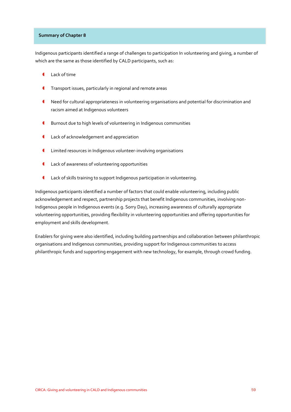#### **Summary of Chapter 8**

Indigenous participants identified a range of challenges to participation In volunteering and giving, a number of which are the same as those identified by CALD participants, such as:

- Lack of time
- Transport issues, particularly in regional and remote areas
- Need for cultural appropriateness in volunteering organisations and potential for discrimination and racism aimed at Indigenous volunteers
- Burnout due to high levels of volunteering in Indigenous communities
- **Lack of acknowledgement and appreciation**
- Limited resources in Indigenous volunteer-involving organisations
- Lack of awareness of volunteering opportunities
- Lack of skills training to support Indigenous participation in volunteering.

Indigenous participants identified a number of factors that could enable volunteering, including public acknowledgement and respect, partnership projects that benefit Indigenous communities, involving non-Indigenous people in Indigenous events (e.g. Sorry Day), increasing awareness of culturally appropriate volunteering opportunities, providing flexibility in volunteering opportunities and offering opportunities for employment and skills development.

Enablers for giving were also identified, including building partnerships and collaboration between philanthropic organisations and Indigenous communities, providing support for Indigenous communities to access philanthropic funds and supporting engagement with new technology, for example, through crowd funding.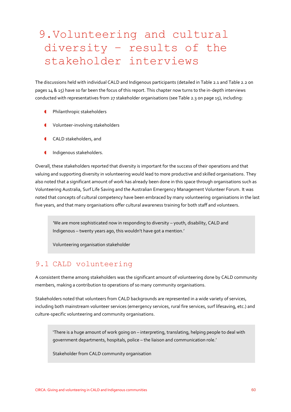# 9.Volunteering and cultural diversity – results of the stakeholder interviews

The discussions held with individual CALD and Indigenous participants (detailed in Table 2.1 and Table 2.2 on pages 14 & 15) have so far been the focus of this report. This chapter now turns to the in-depth interviews conducted with representatives from 27 stakeholder organisations (see Table 2.3 on page 15), including:

- Philanthropic stakeholders
- Volunteer-involving stakeholders
- CALD stakeholders, and
- Indigenous stakeholders.

Overall, these stakeholders reported that diversity is important for the success of their operations and that valuing and supporting diversity in volunteering would lead to more productive and skilled organisations. They also noted that a significant amount of work has already been done in this space through organisations such as Volunteering Australia, Surf Life Saving and the Australian Emergency Management Volunteer Forum. It was noted that concepts of cultural competency have been embraced by many volunteering organisations in the last five years, and that many organisations offer cultural awareness training for both staff and volunteers.

*'*We are more sophisticated now in responding to diversity – youth, disability, CALD and Indigenous – twenty years ago, this wouldn't have got a mention.'

Volunteering organisation stakeholder

## 9.1 CALD volunteering

A consistent theme among stakeholders was the significant amount of volunteering done by CALD community members, making a contribution to operations of so many community organisations.

Stakeholders noted that volunteers from CALD backgrounds are represented in a wide variety of services, including both mainstream volunteer services (emergency services, rural fire services, surf lifesaving, etc.) and culture-specific volunteering and community organisations.

'There is a huge amount of work going on – interpreting, translating, helping people to deal with government departments, hospitals, police – the liaison and communication role.'

Stakeholder from CALD community organisation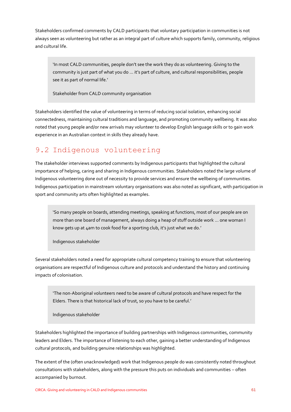Stakeholders confirmed comments by CALD participants that voluntary participation in communities is not always seen as volunteering but rather as an integral part of culture which supports family, community, religious and cultural life.

'In most CALD communities, people don't see the work they do as volunteering. Giving to the community is just part of what you do ... it's part of culture, and cultural responsibilities, people see it as part of normal life.'

Stakeholder from CALD community organisation

Stakeholders identified the value of volunteering in terms of reducing social isolation, enhancing social connectedness, maintaining cultural traditions and language, and promoting community wellbeing. It was also noted that young people and/or new arrivals may volunteer to develop English language skills or to gain work experience in an Australian context in skills they already have.

# 9.2 Indigenous volunteering

The stakeholder interviews supported comments by Indigenous participants that highlighted the cultural importance of helping, caring and sharing in Indigenous communities. Stakeholders noted the large volume of Indigenous volunteering done out of necessity to provide services and ensure the wellbeing of communities. Indigenous participation in mainstream voluntary organisations was also noted as significant, with participation in sport and community arts often highlighted as examples.

'So many people on boards, attending meetings, speaking at functions, most of our people are on more than one board of management, always doing a heap of stuff outside work ... one woman I know gets up at 4am to cook food for a sporting club, it's just what we do.'

Indigenous stakeholder

Several stakeholders noted a need for appropriate cultural competency training to ensure that volunteering organisations are respectful of Indigenous culture and protocols and understand the history and continuing impacts of colonisation.

'The non-Aboriginal volunteers need to be aware of cultural protocols and have respect for the Elders. There is that historical lack of trust, so you have to be careful.'

Indigenous stakeholder

Stakeholders highlighted the importance of building partnerships with Indigenous communities, community leaders and Elders. The importance of listening to each other, gaining a better understanding of Indigenous cultural protocols, and building genuine relationships was highlighted.

The extent of the (often unacknowledged) work that Indigenous people do was consistently noted throughout consultations with stakeholders, along with the pressure this puts on individuals and communities – often accompanied by burnout.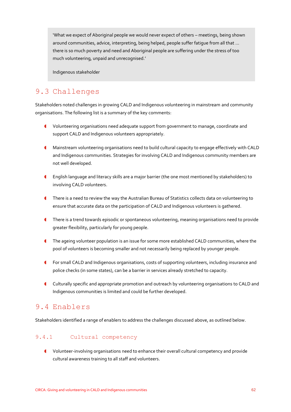'What we expect of Aboriginal people we would never expect of others – meetings, being shown around communities, advice, interpreting, being helped, people suffer fatigue from all that ... there is so much poverty and need and Aboriginal people are suffering under the stress of too much volunteering, unpaid and unrecognised.'

Indigenous stakeholder

# 9.3 Challenges

Stakeholders noted challenges in growing CALD and Indigenous volunteering in mainstream and community organisations. The following list is a summary of the key comments:

- Volunteering organisations need adequate support from government to manage, coordinate and support CALD and Indigenous volunteers appropriately.
- Mainstream volunteering organisations need to build cultural capacity to engage effectively with CALD and Indigenous communities. Strategies for involving CALD and Indigenous community members are not well developed.
- English language and literacy skills are a major barrier (the one most mentioned by stakeholders) to involving CALD volunteers.
- There is a need to review the way the Australian Bureau of Statistics collects data on volunteering to ensure that accurate data on the participation of CALD and Indigenous volunteers is gathered.
- **There is a trend towards episodic or spontaneous volunteering, meaning organisations need to provide** greater flexibility, particularly for young people.
- The ageing volunteer population is an issue for some more established CALD communities, where the pool of volunteers is becoming smaller and not necessarily being replaced by younger people.
- For small CALD and Indigenous organisations, costs of supporting volunteers, including insurance and police checks (in some states), can be a barrier in services already stretched to capacity.
- Culturally specific and appropriate promotion and outreach by volunteering organisations to CALD and Indigenous communities is limited and could be further developed.

# 9.4 Enablers

Stakeholders identified a range of enablers to address the challenges discussed above, as outlined below.

## 9.4.1 Cultural competency

 Volunteer-involving organisations need to enhance their overall cultural competency and provide cultural awareness training to all staff and volunteers.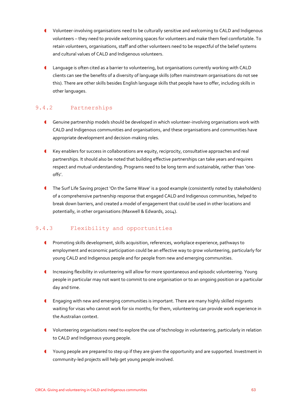- Volunteer-involving organisations need to be culturally sensitive and welcoming to CALD and Indigenous volunteers – they need to provide welcoming spaces for volunteers and make them feel comfortable. To retain volunteers, organisations, staff and other volunteers need to be respectful of the belief systems and cultural values of CALD and Indigenous volunteers.
- Language is often cited as a barrier to volunteering, but organisations currently working with CALD clients can see the benefits of a diversity of language skills (often mainstream organisations do not see this). There are other skills besides English language skills that people have to offer, including skills in other languages.

# 9.4.2 Partnerships

- Genuine partnership models should be developed in which volunteer-involving organisations work with CALD and Indigenous communities and organisations, and these organisations and communities have appropriate development and decision-making roles.
- Key enablers for success in collaborations are equity, reciprocity, consultative approaches and real partnerships. It should also be noted that building effective partnerships can take years and requires respect and mutual understanding. Programs need to be long term and sustainable, rather than 'oneoffs'.
- The Surf Life Saving project 'On the Same Wave' is a good example (consistently noted by stakeholders) of a comprehensive partnership response that engaged CALD and Indigenous communities, helped to break down barriers, and created a model of engagement that could be used in other locations and potentially, in other organisations (Maxwell & Edwards, 2014).

# 9.4.3 Flexibility and opportunities

- **C** Promoting skills development, skills acquisition, references, workplace experience, pathways to employment and economic participation could be an effective way to grow volunteering, particularly for young CALD and Indigenous people and for people from new and emerging communities.
- Increasing flexibility in volunteering will allow for more spontaneous and episodic volunteering. Young people in particular may not want to commit to one organisation or to an ongoing position or a particular day and time.
- Engaging with new and emerging communities is important. There are many highly skilled migrants waiting for visas who cannot work for six months; for them, volunteering can provide work experience in the Australian context.
- Volunteering organisations need to explore the use of technology in volunteering, particularly in relation to CALD and Indigenous young people.
- Young people are prepared to step up if they are given the opportunity and are supported. Investment in community-led projects will help get young people involved.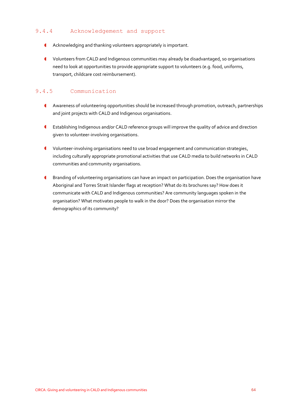## 9.4.4 Acknowledgement and support

- Acknowledging and thanking volunteers appropriately is important.
- Volunteers from CALD and Indigenous communities may already be disadvantaged, so organisations need to look at opportunities to provide appropriate support to volunteers (e.g. food, uniforms, transport, childcare cost reimbursement).

# 9.4.5 Communication

- Awareness of volunteering opportunities should be increased through promotion, outreach, partnerships and joint projects with CALD and Indigenous organisations.
- Establishing Indigenous and/or CALD reference groups will improve the quality of advice and direction given to volunteer-involving organisations.
- Volunteer-involving organisations need to use broad engagement and communication strategies, including culturally appropriate promotional activities that use CALD media to build networks in CALD communities and community organisations.
- Branding of volunteering organisations can have an impact on participation. Does the organisation have Aboriginal and Torres Strait Islander flags at reception? What do its brochures say? How does it communicate with CALD and Indigenous communities? Are community languages spoken in the organisation? What motivates people to walk in the door? Does the organisation mirror the demographics of its community?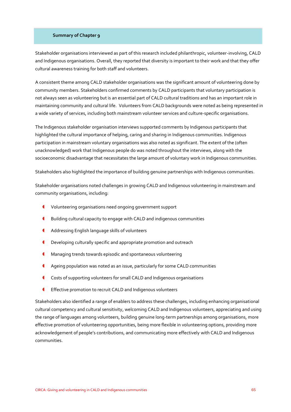#### **Summary of Chapter 9**

Stakeholder organisations interviewed as part of this research included philanthropic, volunteer-involving, CALD and Indigenous organisations. Overall, they reported that diversity is important to their work and that they offer cultural awareness training for both staff and volunteers.

A consistent theme among CALD stakeholder organisations was the significant amount of volunteering done by community members. Stakeholders confirmed comments by CALD participants that voluntary participation is not always seen as volunteering but is an essential part of CALD cultural traditions and has an important role in maintaining community and cultural life. Volunteers from CALD backgrounds were noted as being represented in a wide variety of services, including both mainstream volunteer services and culture-specific organisations.

The Indigenous stakeholder organisation interviews supported comments by Indigenous participants that highlighted the cultural importance of helping, caring and sharing in Indigenous communities. Indigenous participation in mainstream voluntary organisations was also noted as significant. The extent of the (often unacknowledged) work that Indigenous people do was noted throughout the interviews, along with the socioeconomic disadvantage that necessitates the large amount of voluntary work in Indigenous communities.

Stakeholders also highlighted the importance of building genuine partnerships with Indigenous communities.

Stakeholder organisations noted challenges in growing CALD and Indigenous volunteering in mainstream and community organisations, including:

- Volunteering organisations need ongoing government support
- Building cultural capacity to engage with CALD and indigenous communities
- Addressing English language skills of volunteers
- **C** Developing culturally specific and appropriate promotion and outreach
- Managing trends towards episodic and spontaneous volunteering
- Ageing population was noted as an issue, particularly for some CALD communities
- Costs of supporting volunteers for small CALD and Indigenous organisations
- Effective promotion to recruit CALD and Indigenous volunteers

Stakeholders also identified a range of enablers to address these challenges, including enhancing organisational cultural competency and cultural sensitivity, welcoming CALD and Indigenous volunteers, appreciating and using the range of languages among volunteers, building genuine long-term partnerships among organisations, more effective promotion of volunteering opportunities, being more flexible in volunteering options, providing more acknowledgement of people's contributions, and communicating more effectively with CALD and Indigenous communities.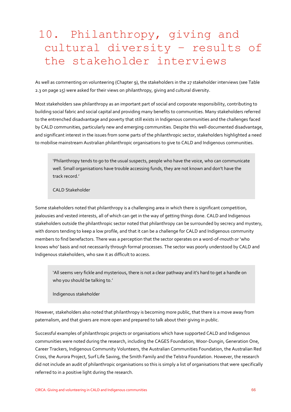# 10. Philanthropy, giving and cultural diversity – results of the stakeholder interviews

As well as commenting on volunteering (Chapter 9), the stakeholders in the 27 stakeholder interviews (see Table 2.3 on page 15) were asked for their views on philanthropy, giving and cultural diversity.

Most stakeholders saw philanthropy as an important part of social and corporate responsibility, contributing to building social fabric and social capital and providing many benefits to communities. Many stakeholders referred to the entrenched disadvantage and poverty that still exists in Indigenous communities and the challenges faced by CALD communities, particularly new and emerging communities. Despite this well-documented disadvantage, and significant interest in the issues from some parts of the philanthropic sector, stakeholders highlighted a need to mobilise mainstream Australian philanthropic organisations to give to CALD and Indigenous communities.

'Philanthropy tends to go to the usual suspects, people who have the voice, who can communicate well. Small organisations have trouble accessing funds, they are not known and don't have the track record.'

CALD Stakeholder

Some stakeholders noted that philanthropy is a challenging area in which there is significant competition, jealousies and vested interests, all of which can get in the way of getting things done. CALD and Indigenous stakeholders outside the philanthropic sector noted that philanthropy can be surrounded by secrecy and mystery, with donors tending to keep a low profile, and that it can be a challenge for CALD and Indigenous community members to find benefactors. There was a perception that the sector operates on a word-of-mouth or 'who knows who' basis and not necessarily through formal processes. The sector was poorly understood by CALD and Indigenous stakeholders, who saw it as difficult to access.

'All seems very fickle and mysterious, there is not a clear pathway and it's hard to get a handle on who you should be talking to.'

Indigenous stakeholder

However, stakeholders also noted that philanthropy is becoming more public, that there is a move away from paternalism, and that givers are more open and prepared to talk about their giving in public.

Successful examples of philanthropic projects or organisations which have supported CALD and Indigenous communities were noted during the research, including the CAGES Foundation, Woor-Dungin, Generation One, Career Trackers, Indigenous Community Volunteers, the Australian Communities Foundation, the Australian Red Cross, the Aurora Project, Surf Life Saving, the Smith Family and the Telstra Foundation. However, the research did not include an audit of philanthropic organisations so this is simply a list of organisations that were specifically referred to in a positive light during the research.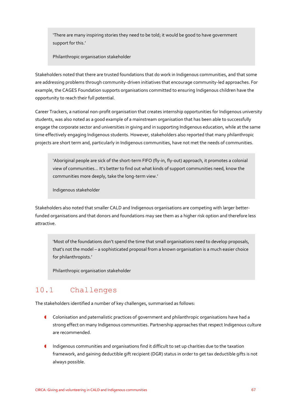'There are many inspiring stories they need to be told; it would be good to have government support for this.'

Philanthropic organisation stakeholder

Stakeholders noted that there are trusted foundations that do work in Indigenous communities, and that some are addressing problems through community-driven initiatives that encourage community-led approaches. For example, the CAGES Foundation supports organisations committed to ensuring Indigenous children have the opportunity to reach their full potential.

Career Trackers, a national non-profit organisation that creates internship opportunities for Indigenous university students, was also noted as a good example of a mainstream organisation that has been able to successfully engage the corporate sector and universities in giving and in supporting Indigenous education, while at the same time effectively engaging Indigenous students. However, stakeholders also reported that many philanthropic projects are short term and, particularly in Indigenous communities, have not met the needs of communities.

'Aboriginal people are sick of the short-term FIFO (fly-in, fly-out) approach, it promotes a colonial view of communities... It's better to find out what kinds of support communities need, know the communities more deeply, take the long-term view.'

Indigenous stakeholder

Stakeholders also noted that smaller CALD and Indigenous organisations are competing with larger betterfunded organisations and that donors and foundations may see them as a higher risk option and therefore less attractive.

'Most of the foundations don't spend the time that small organisations need to develop proposals, that's not the model – a sophisticated proposal from a known organisation is a much easier choice for philanthropists.'

Philanthropic organisation stakeholder

# 10.1 Challenges

The stakeholders identified a number of key challenges, summarised as follows:

- Colonisation and paternalistic practices of government and philanthropic organisations have had a strong effect on many Indigenous communities. Partnership approaches that respect Indigenous culture are recommended.
- Indigenous communities and organisations find it difficult to set up charities due to the taxation framework, and gaining deductible gift recipient (DGR) status in order to get tax deductible gifts is not always possible.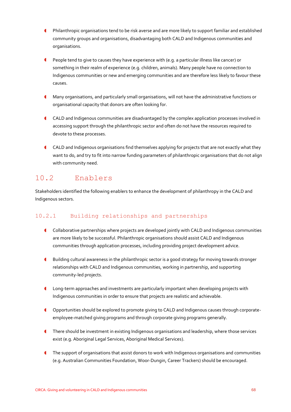- Philanthropic organisations tend to be risk averse and are more likely to support familiar and established community groups and organisations, disadvantaging both CALD and Indigenous communities and organisations.
- **C** People tend to give to causes they have experience with (e.g. a particular illness like cancer) or something in their realm of experience (e.g. children, animals). Many people have no connection to Indigenous communities or new and emerging communities and are therefore less likely to favour these causes.
- Many organisations, and particularly small organisations, will not have the administrative functions or organisational capacity that donors are often looking for.
- CALD and Indigenous communities are disadvantaged by the complex application processes involved in accessing support through the philanthropic sector and often do not have the resources required to devote to these processes.
- CALD and Indigenous organisations find themselves applying for projects that are not exactly what they want to do, and try to fit into narrow funding parameters of philanthropic organisations that do not align with community need.

# 10.2 Enablers

Stakeholders identified the following enablers to enhance the development of philanthropy in the CALD and Indigenous sectors.

# 10.2.1 Building relationships and partnerships

- Collaborative partnerships where projects are developed jointly with CALD and Indigenous communities are more likely to be successful. Philanthropic organisations should assist CALD and Indigenous communities through application processes, including providing project development advice.
- Building cultural awareness in the philanthropic sector is a good strategy for moving towards stronger relationships with CALD and Indigenous communities, working in partnership, and supporting community-led projects.
- Long-term approaches and investments are particularly important when developing projects with Indigenous communities in order to ensure that projects are realistic and achievable.
- Opportunities should be explored to promote giving to CALD and Indigenous causes through corporateemployee-matched giving programs and through corporate giving programs generally.
- There should be investment in existing Indigenous organisations and leadership, where those services exist (e.g. Aboriginal Legal Services, Aboriginal Medical Services).
- The support of organisations that assist donors to work with Indigenous organisations and communities (e.g. Australian Communities Foundation, Woor-Dungin, Career Trackers) should be encouraged.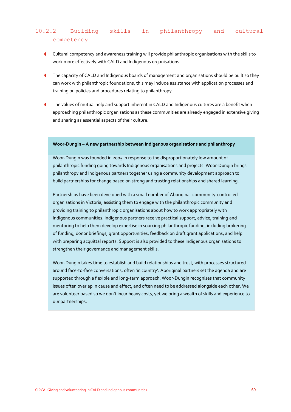# 10.2.2 Building skills in philanthropy and cultural competency

- Cultural competency and awareness training will provide philanthropic organisations with the skills to work more effectively with CALD and Indigenous organisations.
- The capacity of CALD and Indigenous boards of management and organisations should be built so they can work with philanthropic foundations; this may include assistance with application processes and training on policies and procedures relating to philanthropy.
- The values of mutual help and support inherent in CALD and Indigenous cultures are a benefit when approaching philanthropic organisations as these communities are already engaged in extensive giving and sharing as essential aspects of their culture.

#### **Woor-Dungin – A new partnership between Indigenous organisations and philanthropy**

Woor-Dungin was founded in 2005 in response to the disproportionately low amount of philanthropic funding going towards Indigenous organisations and projects. Woor-Dungin brings philanthropy and Indigenous partners together using a community development approach to build partnerships for change based on strong and trusting relationships and shared learning.

Partnerships have been developed with a small number of Aboriginal-community-controlled organisations in Victoria, assisting them to engage with the philanthropic community and providing training to philanthropic organisations about how to work appropriately with Indigenous communities. Indigenous partners receive practical support, advice, training and mentoring to help them develop expertise in sourcing philanthropic funding, including brokering of funding, donor briefings, grant opportunities, feedback on draft grant applications, and help with preparing acquittal reports. Support is also provided to these Indigenous organisations to strengthen their governance and management skills.

Woor-Dungin takes time to establish and build relationships and trust, with processes structured around face-to-face conversations, often 'in country'. Aboriginal partners set the agenda and are supported through a flexible and long-term approach. Woor-Dungin recognises that community issues often overlap in cause and effect, and often need to be addressed alongside each other. We are volunteer based so we don't incur heavy costs, yet we bring a wealth of skills and experience to our partnerships.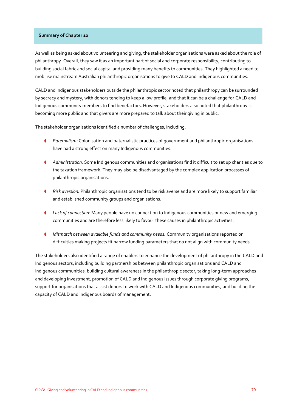### **Summary of Chapter 10**

As well as being asked about volunteering and giving, the stakeholder organisations were asked about the role of philanthropy. Overall, they saw it as an important part of social and corporate responsibility, contributing to building social fabric and social capital and providing many benefits to communities. They highlighted a need to mobilise mainstream Australian philanthropic organisations to give to CALD and Indigenous communities.

CALD and Indigenous stakeholders outside the philanthropic sector noted that philanthropy can be surrounded by secrecy and mystery, with donors tending to keep a low profile, and that it can be a challenge for CALD and Indigenous community members to find benefactors. However, stakeholders also noted that philanthropy is becoming more public and that givers are more prepared to talk about their giving in public.

The stakeholder organisations identified a number of challenges, including:

- *Paternalism:* Colonisation and paternalistic practices of government and philanthropic organisations have had a strong effect on many Indigenous communities.
- *Administration:* Some Indigenous communities and organisations find it difficult to set up charities due to the taxation framework. They may also be disadvantaged by the complex application processes of philanthropic organisations.
- *Risk aversion:* Philanthropic organisations tend to be risk averse and are more likely to support familiar and established community groups and organisations.
- *Lack of connection:* Many people have no connection to Indigenous communities or new and emerging communities and are therefore less likely to favour these causes in philanthropic activities.
- *Mismatch between available funds and community needs:* Community organisations reported on difficulties making projects fit narrow funding parameters that do not align with community needs.

The stakeholders also identified a range of enablers to enhance the development of philanthropy in the CALD and Indigenous sectors, including building partnerships between philanthropic organisations and CALD and Indigenous communities, building cultural awareness in the philanthropic sector, taking long-term approaches and developing investment, promotion of CALD and Indigenous issues through corporate giving programs, support for organisations that assist donors to work with CALD and Indigenous communities, and building the capacity of CALD and Indigenous boards of management.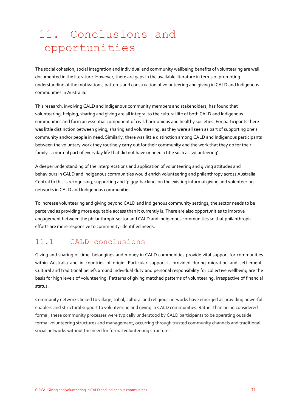# 11. Conclusions and opportunities

The social cohesion, social integration and individual and community wellbeing benefits of volunteering are well documented in the literature. However, there are gaps in the available literature in terms of promoting understanding of the motivations, patterns and construction of volunteering and giving in CALD and Indigenous communities in Australia.

This research, involving CALD and Indigenous community members and stakeholders, has found that volunteering, helping, sharing and giving are all integral to the cultural life of both CALD and Indigenous communities and form an essential component of civil, harmonious and healthy societies. For participants there was little distinction between giving, sharing and volunteering, as they were all seen as part of supporting one's community and/or people in need. Similarly, there was little distinction among CALD and Indigenous participants between the voluntary work they routinely carry out for their community and the work that they do for their family - a normal part of everyday life that did not have or need a title such as 'volunteering'.

A deeper understanding of the interpretations and application of volunteering and giving attitudes and behaviours in CALD and Indigenous communities would enrich volunteering and philanthropy across Australia. Central to this is recognising, supporting and 'piggy-backing' on the existing informal giving and volunteering networks in CALD and Indigenous communities.

To increase volunteering and giving beyond CALD and Indigenous community settings, the sector needs to be perceived as providing more equitable access than it currently is. There are also opportunities to improve engagement between the philanthropic sector and CALD and Indigenous communities so that philanthropic efforts are more responsive to community-identified needs.

# 11.1 CALD conclusions

Giving and sharing of time, belongings and money in CALD communities provide vital support for communities within Australia and in countries of origin. Particular support is provided during migration and settlement. Cultural and traditional beliefs around individual duty and personal responsibility for collective wellbeing are the basis for high levels of volunteering. Patterns of giving matched patterns of volunteering, irrespective of financial status.

Community networks linked to village, tribal, cultural and religious networks have emerged as providing powerful enablers and structural support to volunteering and giving in CALD communities. Rather than being considered formal, these community processes were typically understood by CALD participants to be operating outside formal volunteering structures and management, occurring through trusted community channels and traditional social networks without the need for formal volunteering structures.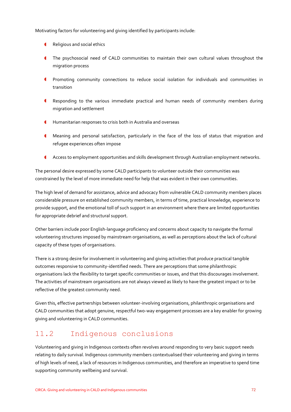Motivating factors for volunteering and giving identified by participants include:

- Religious and social ethics
- The psychosocial need of CALD communities to maintain their own cultural values throughout the migration process
- Promoting community connections to reduce social isolation for individuals and communities in transition
- Responding to the various immediate practical and human needs of community members during migration and settlement
- Humanitarian responses to crisis both in Australia and overseas
- Meaning and personal satisfaction, particularly in the face of the loss of status that migration and refugee experiences often impose
- Access to employment opportunities and skills development through Australian employment networks.

The personal desire expressed by some CALD participants to volunteer outside their communities was constrained by the level of more immediate need for help that was evident in their own communities.

The high level of demand for assistance, advice and advocacy from vulnerable CALD community members places considerable pressure on established community members, in terms of time, practical knowledge, experience to provide support, and the emotional toll of such support in an environment where there are limited opportunities for appropriate debrief and structural support.

Other barriers include poor English-language proficiency and concerns about capacity to navigate the formal volunteering structures imposed by mainstream organisations, as well as perceptions about the lack of cultural capacity of these types of organisations.

There is a strong desire for involvement in volunteering and giving activities that produce practical tangible outcomes responsive to community-identified needs. There are perceptions that some philanthropic organisations lack the flexibility to target specific communities or issues, and that this discourages involvement. The activities of mainstream organisations are not always viewed as likely to have the greatest impact or to be reflective of the greatest community need.

Given this, effective partnerships between volunteer-involving organisations, philanthropic organisations and CALD communities that adopt genuine, respectful two-way engagement processes are a key enabler for growing giving and volunteering in CALD communities.

# 11.2 Indigenous conclusions

Volunteering and giving in Indigenous contexts often revolves around responding to very basic support needs relating to daily survival. Indigenous community members contextualised their volunteering and giving in terms of high levels of need, a lack of resources in Indigenous communities, and therefore an imperative to spend time supporting community wellbeing and survival.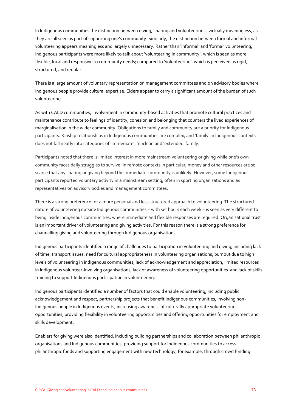In Indigenous communities the distinction between giving, sharing and volunteering is virtually meaningless, as they are all seen as part of supporting one's community. Similarly, the distinction between formal and informal volunteering appears meaningless and largely unnecessary. Rather than 'informal' and 'formal' volunteering, Indigenous participants were more likely to talk about 'volunteering in community', which is seen as more flexible, local and responsive to community needs; compared to 'volunteering', which is perceived as rigid, structured, and regular.

There is a large amount of voluntary representation on management committees and on advisory bodies where Indigenous people provide cultural expertise. Elders appear to carry a significant amount of the burden of such volunteering.

As with CALD communities, involvement in community-based activities that promote cultural practices and maintenance contribute to feelings of identity, cohesion and belonging that counters the lived experiences of marginalisation in the wider community. Obligations to family and community are a priority for Indigenous participants. Kinship relationships in Indigenous communities are complex, and 'family' in Indigenous contexts does not fall neatly into categories of 'immediate', 'nuclear' and 'extended' family.

Participants noted that there is limited interest in more mainstream volunteering or giving while one's own community faces daily struggles to survive. In remote contexts in particular, money and other resources are so scarce that any sharing or giving beyond the immediate community is unlikely. However, some Indigenous participants reported voluntary activity in a mainstream setting, often in sporting organisations and as representatives on advisory bodies and management committees.

There is a strong preference for a more personal and less structured approach to volunteering. The structured nature of volunteering outside Indigenous communities – with set hours each week – is seen as very different to being inside Indigenous communities, where immediate and flexible responses are required. Organisational trust is an important driver of volunteering and giving activities. For this reason there is a strong preference for channelling giving and volunteering through Indigenous organisations.

Indigenous participants identified a range of challenges to participation in volunteering and giving, including lack of time, transport issues, need for cultural appropriateness in volunteering organisations, burnout due to high levels of volunteering in Indigenous communities, lack of acknowledgement and appreciation, limited resources in Indigenous volunteer-involving organisations, lack of awareness of volunteering opportunities and lack of skills training to support Indigenous participation in volunteering.

Indigenous participants identified a number of factors that could enable volunteering, including public acknowledgement and respect, partnership projects that benefit Indigenous communities, involving non-Indigenous people in Indigenous events, increasing awareness of culturally appropriate volunteering opportunities, providing flexibility in volunteering opportunities and offering opportunities for employment and skills development.

Enablers for giving were also identified, including building partnerships and collaboration between philanthropic organisations and Indigenous communities, providing support for Indigenous communities to access philanthropic funds and supporting engagement with new technology, for example, through crowd funding.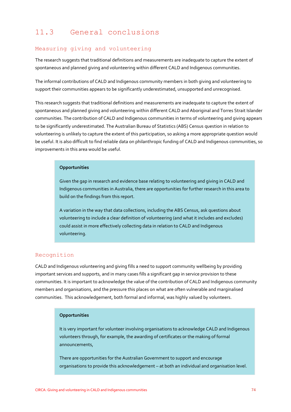# 11.3 General conclusions

## Measuring giving and volunteering

The research suggests that traditional definitions and measurements are inadequate to capture the extent of spontaneous and planned giving and volunteering within different CALD and Indigenous communities.

The informal contributions of CALD and Indigenous community members in both giving and volunteering to support their communities appears to be significantly underestimated, unsupported and unrecognised.

This research suggests that traditional definitions and measurements are inadequate to capture the extent of spontaneous and planned giving and volunteering within different CALD and Aboriginal and Torres Strait Islander communities. The contribution of CALD and Indigenous communities in terms of volunteering and giving appears to be significantly underestimated. The Australian Bureau of Statistics (ABS) Census question in relation to volunteering is unlikely to capture the extent of this participation, so asking a more appropriate question would be useful. It is also difficult to find reliable data on philanthropic funding of CALD and Indigenous communities, so improvements in this area would be useful.

#### **Opportunities**

Given the gap in research and evidence base relating to volunteering and giving in CALD and Indigenous communities in Australia, there are opportunities for further research in this area to build on the findings from this report.

A variation in the way that data collections, including the ABS Census, ask questions about volunteering to include a clear definition of volunteering (and what it includes and excludes) could assist in more effectively collecting data in relation to CALD and Indigenous volunteering.

## Recognition

CALD and Indigenous volunteering and giving fills a need to support community wellbeing by providing important services and supports, and in many cases fills a significant gap in service provision to these communities. It is important to acknowledge the value of the contribution of CALD and Indigenous community members and organisations, and the pressure this places on what are often vulnerable and marginalised communities. This acknowledgement, both formal and informal, was highly valued by volunteers.

#### **Opportunities**

It is very important for volunteer involving organisations to acknowledge CALD and Indigenous volunteers through, for example, the awarding of certificates or the making of formal announcements,

There are opportunities for the Australian Government to support and encourage organisations to provide this acknowledgement – at both an individual and organisation level.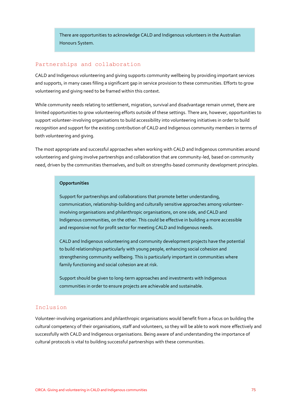There are opportunities to acknowledge CALD and Indigenous volunteers in the Australian Honours System.

### Partnerships and collaboration

CALD and Indigenous volunteering and giving supports community wellbeing by providing important services and supports, in many cases filling a significant gap in service provision to these communities. Efforts to grow volunteering and giving need to be framed within this context.

While community needs relating to settlement, migration, survival and disadvantage remain unmet, there are limited opportunities to grow volunteering efforts outside of these settings. There are, however, opportunities to support volunteer-involving organisations to build accessibility into volunteering initiatives in order to build recognition and support for the existing contribution of CALD and Indigenous community members in terms of both volunteering and giving.

The most appropriate and successful approaches when working with CALD and Indigenous communities around volunteering and giving involve partnerships and collaboration that are community-led, based on community need, driven by the communities themselves, and built on strengths-based community development principles.

#### **Opportunities**

Support for partnerships and collaborations that promote better understanding, communication, relationship-building and culturally sensitive approaches among volunteerinvolving organisations and philanthropic organisations, on one side, and CALD and Indigenous communities, on the other. This could be effective in building a more accessible and responsive not for profit sector for meeting CALD and Indigenous needs.

CALD and Indigenous volunteering and community development projects have the potential to build relationships particularly with young people, enhancing social cohesion and strengthening community wellbeing. This is particularly important in communities where family functioning and social cohesion are at risk.

Support should be given to long-term approaches and investments with Indigenous communities in order to ensure projects are achievable and sustainable.

#### Inclusion

Volunteer-involving organisations and philanthropic organisations would benefit from a focus on building the cultural competency of their organisations, staff and volunteers, so they will be able to work more effectively and successfully with CALD and Indigenous organisations. Being aware of and understanding the importance of cultural protocols is vital to building successful partnerships with these communities.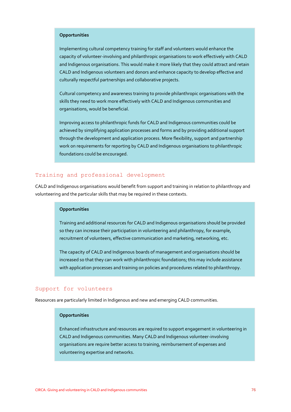## **Opportunities**

Implementing cultural competency training for staff and volunteers would enhance the capacity of volunteer-involving and philanthropic organisations to work effectively with CALD and Indigenous organisations. This would make it more likely that they could attract and retain CALD and Indigenous volunteers and donors and enhance capacity to develop effective and culturally respectful partnerships and collaborative projects.

Cultural competency and awareness training to provide philanthropic organisations with the skills they need to work more effectively with CALD and Indigenous communities and organisations, would be beneficial.

Improving access to philanthropic funds for CALD and Indigenous communities could be achieved by simplifying application processes and forms and by providing additional support through the development and application process. More flexibility, support and partnership work on requirements for reporting by CALD and Indigenous organisations to philanthropic foundations could be encouraged.

### Training and professional development

CALD and Indigenous organisations would benefit from support and training in relation to philanthropy and volunteering and the particular skills that may be required in these contexts.

#### **Opportunities**

Training and additional resources for CALD and Indigenous organisations should be provided so they can increase their participation in volunteering and philanthropy, for example, recruitment of volunteers, effective communication and marketing, networking, etc.

The capacity of CALD and Indigenous boards of management and organisations should be increased so that they can work with philanthropic foundations; this may include assistance with application processes and training on policies and procedures related to philanthropy.

#### Support for volunteers

Resources are particularly limited in Indigenous and new and emerging CALD communities.

#### **Opportunities**

Enhanced infrastructure and resources are required to support engagement in volunteering in CALD and Indigenous communities. Many CALD and Indigenous volunteer-involving organisations are require better access to training, reimbursement of expenses and volunteering expertise and networks.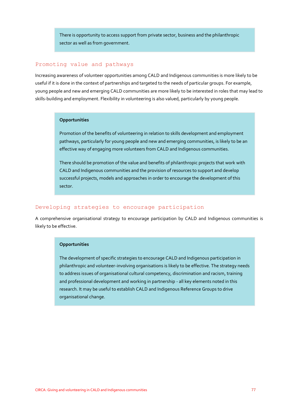There is opportunity to access support from private sector, business and the philanthropic sector as well as from government.

## Promoting value and pathways

Increasing awareness of volunteer opportunities among CALD and Indigenous communities is more likely to be useful if it is done in the context of partnerships and targeted to the needs of particular groups. For example, young people and new and emerging CALD communities are more likely to be interested in roles that may lead to skills-building and employment. Flexibility in volunteering is also valued, particularly by young people.

#### **Opportunities**

Promotion of the benefits of volunteering in relation to skills development and employment pathways, particularly for young people and new and emerging communities, is likely to be an effective way of engaging more volunteers from CALD and Indigenous communities.

There should be promotion of the value and benefits of philanthropic projects that work with CALD and Indigenous communities and the provision of resources to support and develop successful projects, models and approaches in order to encourage the development of this sector.

## Developing strategies to encourage participation

A comprehensive organisational strategy to encourage participation by CALD and Indigenous communities is likely to be effective.

#### **Opportunities**

The development of specific strategies to encourage CALD and Indigenous participation in philanthropic and volunteer-involving organisations is likely to be effective. The strategy needs to address issues of organisational cultural competency, discrimination and racism, training and professional development and working in partnership - all key elements noted in this research. It may be useful to establish CALD and Indigenous Reference Groups to drive organisational change.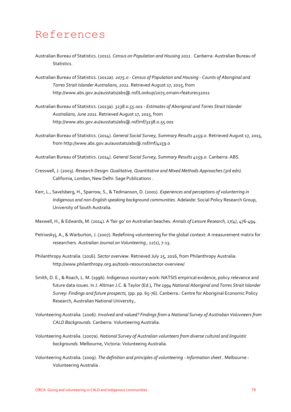# References

- Australian Bureau of Statistics. (2011). *Census on Population and Housing 2011 .* Canberra: Australian Bureau of Statistics.
- Australian Bureau of Statistics. (2012a). *2075.0 - Census of Population and Housing - Counts of Aboriginal and Torres Strait Islander Australians, 2011*. Retrieved August 17, 2015, from http://www.abs.gov.au/ausstats/abs@.nsf/Lookup/2075.omain+features32011
- Australian Bureau of Statistics. (2013a). *3238.0.55.001 - Estimates of Aboriginal and Torres Strait Islander Australians, June 2011*. Retrieved August 17, 2015, from http://www.abs.gov.au/ausstats/abs@.nsf/mf/3238.0.55.001
- Australian Bureau of Statistics. (2014). *General Social Survey, Summary Results 4159.0*. Retrieved August 17, 2015, from http://www.abs.gov.au/ausstats/abs@.nsf/mf/4159.0

Australian Bureau of Statistics. (2014). *General Social Survey, Summary Results 4159.0.* Canberra: ABS.

- Cresswell, J. (2003). *Research Design: Qualitative, Quantitative and Mixed Methods Approaches (3rd edn).* California, London, New Delhi: Sage Publications .
- Kerr, L., Savelsberg, H., Sparrow, S., & Tedmanson, D. (2001). *Experiences and perceptions of volunterring in Indigenous and non-English speaking background communities.* Adelaide: Social Policy Research Group, University of South Australia.

Maxwell, H., & Edwards, M. (2014). A 'fair go' on Australian beaches. *Annals of Leisure Research, 17(4)*, 476-494.

- Petriwskyj, A., & Warburton, J. (2007). Redefining volunteering for the global context: A measurement matrix for researchers. *Australian Journal on Volunteering , 12*(1), 7-13.
- Philanthropy Australia. (2016). *Sector overview*. Retrieved July 25, 2016, from Philanthropy Australia: http://www.philanthropy.org.au/tools-resources/sector-overview/
- Smith, D. E., & Roach, L. M. (1996). Indigenous vountary work: NATSIS empirical evidence, policy relevance and future data issues. In J. Altman J.C. & Taylor (Ed.), *The 1994 National Aboriginal and Torres Strait Islander Survey: Findings and future prospects,* (pp. pp. 65-76). Canberra.: Centre for Aboriginal Economic Policy Research, Australian National University,.
- Volunteering Australia. (2006). *Involved and valued? Findings from a National Survey of Australian Voluvneers from CALD Backgrounds.* Canberra: Volunteering Australia.
- Volunteering Australia. (2007a). *National Survey of Australian volunteers from diverse cultural and linguistic backgrounds.* Melbourne, Victoria: Volunteeing Australia.
- Volunteering Australia. (2009). *The definition and principles of volunteering - Information sheet .* Melbourne : Volunteering Australia .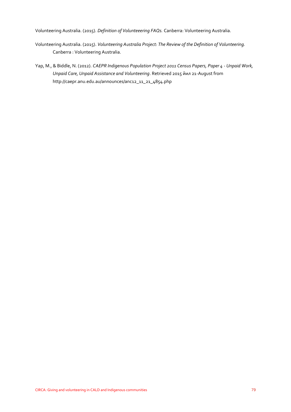Volunteering Australia. (2015). *Definition of Volunteeering FAQs.* Canberra: Volunteering Australia.

- Volunteering Australia. (2015). *Volunteering Australia Project: The Review of the Definition of Volunteering.* Canberra : Volunteering Australia.
- Yap, M., & Biddle, N. (2012). *CAEPR Indigenous Population Project 2011 Census Papers, Paper 4 - Unpaid Work, Unpaid Care, Unpaid Assistance and Volunteering*. Retrieved 2015 йил 21-August from http://caepr.anu.edu.au/announces/anc12\_11\_21\_4854.php